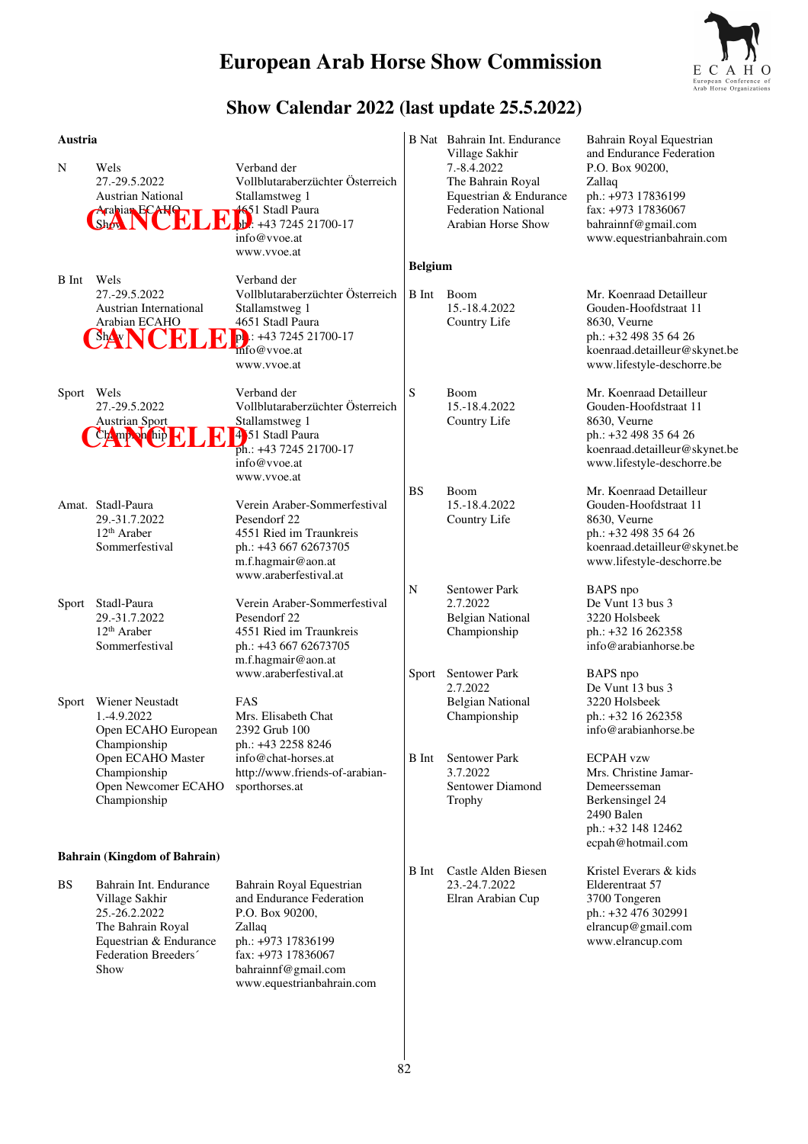

### **Show Calendar 2022 (last update 25.5.2022)**

|              | B Nat Bahrain Int. Endurance<br>Village Sakhir                                                  | Bahrain Royal Equestrian<br>and Endurance Federation                                                                                                     |
|--------------|-------------------------------------------------------------------------------------------------|----------------------------------------------------------------------------------------------------------------------------------------------------------|
|              | The Bahrain Royal<br>Equestrian & Endurance<br><b>Federation National</b><br>Arabian Horse Show | P.O. Box 90200,<br>Zallaq<br>ph.: +973 17836199<br>fax: +973 17836067<br>bahrainnf@gmail.com<br>www.equestrianbahrain.com                                |
|              |                                                                                                 |                                                                                                                                                          |
| <b>B</b> Int | Boom<br>15.-18.4.2022<br>Country Life                                                           | Mr. Koenraad Detailleur<br>Gouden-Hoofdstraat 11<br>8630, Veurne<br>ph.: +32 498 35 64 26<br>koenraad.detailleur@skynet.be<br>www.lifestyle-deschorre.be |
| S            | Boom<br>15.-18.4.2022<br>Country Life                                                           | Mr. Koenraad Detailleur<br>Gouden-Hoofdstraat 11<br>8630, Veurne<br>ph.: +32 498 35 64 26<br>koenraad.detailleur@skynet.be<br>www.lifestyle-deschorre.be |
| <b>BS</b>    | Boom<br>15.-18.4.2022<br>Country Life                                                           | Mr. Koenraad Detailleur<br>Gouden-Hoofdstraat 11<br>8630, Veurne<br>ph.: +32 498 35 64 26<br>koenraad.detailleur@skynet.be<br>www.lifestyle-deschorre.be |
| N            | <b>Sentower Park</b><br>2.7.2022<br><b>Belgian National</b><br>Championship                     | BAPS npo<br>De Vunt 13 bus 3<br>3220 Holsbeek<br>ph.: +32 16 262358<br>info@arabianhorse.be                                                              |
|              | 2.7.2022<br><b>Belgian National</b><br>Championship                                             | BAPS npo<br>De Vunt 13 bus 3<br>3220 Holsbeek<br>ph.: +32 16 262358<br>info@arabianhorse.be<br><b>ECPAH</b> vzw                                          |
|              | 3.7.2022<br><b>Sentower Diamond</b><br>Trophy                                                   | Mrs. Christine Jamar-<br>Demeersseman<br>Berkensingel 24<br>2490 Balen<br>ph.: +32 148 12462<br>ecpah@hotmail.com                                        |
|              |                                                                                                 | Kristel Everars & kids                                                                                                                                   |
|              | 23.-24.7.2022<br>Elran Arabian Cup                                                              | Elderentraat 57<br>3700 Tongeren<br>ph.: +32 476 302991<br>elrancup@gmail.com<br>www.elrancup.com                                                        |
|              | <b>B</b> Int<br><b>B</b> Int                                                                    | 7.-8.4.2022<br><b>Belgium</b><br>Sentower Park<br>Sport<br><b>Sentower Park</b><br>Castle Alden Biesen                                                   |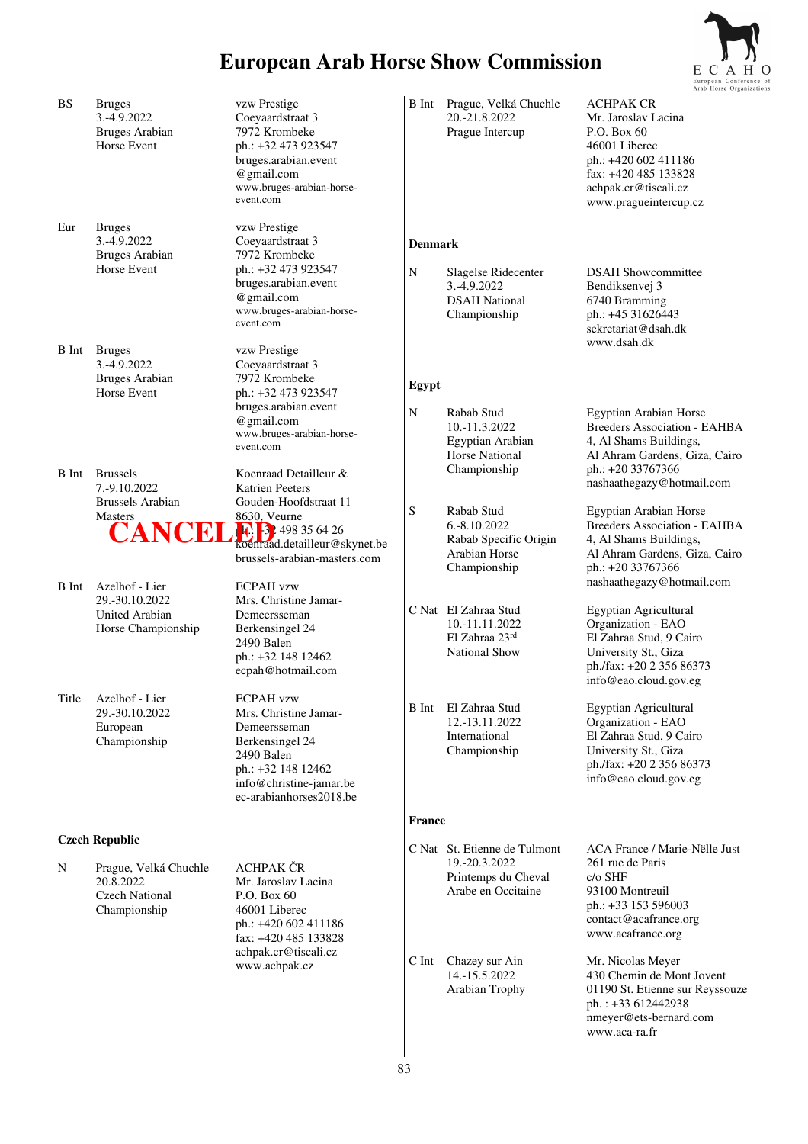

|              |                                                                             |                                                                                                                                                                        |                |                                                                                            | European Contere                                                                                                                                                                 |
|--------------|-----------------------------------------------------------------------------|------------------------------------------------------------------------------------------------------------------------------------------------------------------------|----------------|--------------------------------------------------------------------------------------------|----------------------------------------------------------------------------------------------------------------------------------------------------------------------------------|
| <b>BS</b>    | <b>Bruges</b><br>3.-4.9.2022<br><b>Bruges Arabian</b><br>Horse Event        | vzw Prestige<br>Coeyaardstraat 3<br>7972 Krombeke<br>ph.: +32 473 923547<br>bruges.arabian.event<br>@gmail.com<br>www.bruges-arabian-horse-<br>event.com               |                | B Int Prague, Velká Chuchle<br>20.-21.8.2022<br>Prague Intercup                            | <b>ACHPAK CR</b><br>Mr. Jaroslav Lacina<br>P.O. Box 60<br>46001 Liberec<br>ph.: +420 602 411186<br>fax: +420 485 133828<br>achpak.cr@tiscali.cz<br>www.pragueintercup.cz         |
| Eur          | <b>Bruges</b><br>3.-4.9.2022<br><b>Bruges Arabian</b>                       | vzw Prestige<br>Coeyaardstraat 3<br>7972 Krombeke                                                                                                                      | <b>Denmark</b> |                                                                                            |                                                                                                                                                                                  |
|              | Horse Event                                                                 | ph.: +32 473 923547<br>bruges.arabian.event<br>@gmail.com<br>www.bruges-arabian-horse-<br>event.com                                                                    | N              | Slagelse Ridecenter<br>3.-4.9.2022<br><b>DSAH National</b><br>Championship                 | <b>DSAH Showcommittee</b><br>Bendiksenvej 3<br>6740 Bramming<br>ph.: +45 31626443<br>sekretariat@dsah.dk                                                                         |
| <b>B</b> Int | <b>Bruges</b><br>3.-4.9.2022<br><b>Bruges Arabian</b><br>Horse Event        | vzw Prestige<br>Coeyaardstraat 3<br>7972 Krombeke<br>ph.: +32 473 923547                                                                                               | Egypt          |                                                                                            | www.dsah.dk                                                                                                                                                                      |
| <b>B</b> Int | <b>Brussels</b>                                                             | bruges.arabian.event<br>@gmail.com<br>www.bruges-arabian-horse-<br>event.com<br>Koenraad Detailleur &                                                                  | $\mathbf N$    | Rabab Stud<br>10.-11.3.2022<br>Egyptian Arabian<br><b>Horse National</b><br>Championship   | Egyptian Arabian Horse<br><b>Breeders Association - EAHBA</b><br>4, Al Shams Buildings,<br>Al Ahram Gardens, Giza, Cairo<br>ph.: +20 33767366                                    |
|              | 7.-9.10.2022<br>Brussels Arabian                                            | <b>Katrien Peeters</b><br>Gouden-Hoofdstraat 11                                                                                                                        | S              | Rabab Stud                                                                                 | nashaathegazy@hotmail.com<br>Egyptian Arabian Horse                                                                                                                              |
|              | <b>Masters</b>                                                              | 8630, Veurne<br>$\ddot{C}$ ANCELE 3 498 35 64 26<br>brussels-arabian-masters.com                                                                                       |                | 6.-8.10.2022<br>Rabab Specific Origin<br>Arabian Horse<br>Championship                     | <b>Breeders Association - EAHBA</b><br>4, Al Shams Buildings,<br>Al Ahram Gardens, Giza, Cairo<br>ph.: +20 33767366                                                              |
| B Int        | Azelhof - Lier<br>29.-30.10.2022<br>United Arabian<br>Horse Championship    | <b>ECPAH</b> vzw<br>Mrs. Christine Jamar-<br>Demeersseman<br>Berkensingel 24<br>2490 Balen<br>ph.: +32 148 12462<br>ecpah@hotmail.com                                  |                | C Nat El Zahraa Stud<br>10.-11.11.2022<br>El Zahraa 23rd<br><b>National Show</b>           | nashaathegazy@hotmail.com<br>Egyptian Agricultural<br>Organization - EAO<br>El Zahraa Stud, 9 Cairo<br>University St., Giza<br>ph./fax: +20 2 356 86373<br>info@eao.cloud.gov.eg |
| Title        | Azelhof - Lier<br>29.-30.10.2022<br>European<br>Championship                | <b>ECPAH</b> vzw<br>Mrs. Christine Jamar-<br>Demeersseman<br>Berkensingel 24<br>2490 Balen<br>ph.: +32 148 12462<br>info@christine-jamar.be<br>ec-arabianhorses2018.be | <b>B</b> Int   | El Zahraa Stud<br>12.-13.11.2022<br>International<br>Championship                          | Egyptian Agricultural<br>Organization - EAO<br>El Zahraa Stud, 9 Cairo<br>University St., Giza<br>ph./fax: +20 2 356 86373<br>info@eao.cloud.gov.eg                              |
|              | <b>Czech Republic</b>                                                       |                                                                                                                                                                        | <b>France</b>  |                                                                                            |                                                                                                                                                                                  |
| N            | Prague, Velká Chuchle<br>20.8.2022<br><b>Czech National</b><br>Championship | <b>ACHPAK ČR</b><br>Mr. Jaroslav Lacina<br>P.O. Box 60<br>46001 Liberec<br>ph.: +420 602 411186<br>fax: +420 485 133828                                                |                | C Nat St. Etienne de Tulmont<br>19.-20.3.2022<br>Printemps du Cheval<br>Arabe en Occitaine | ACA France / Marie-Nëlle Just<br>261 rue de Paris<br>c/o SHF<br>93100 Montreuil<br>ph.: +33 153 596003<br>contact@acafrance.org<br>www.acafrance.org                             |
|              |                                                                             | achpak.cr@tiscali.cz<br>www.achpak.cz                                                                                                                                  | C Int          | Chazey sur Ain<br>14.-15.5.2022<br>Arabian Trophy                                          | Mr. Nicolas Meyer<br>430 Chemin de Mont Jovent<br>01190 St. Etienne sur Reyssouze<br>ph.: +33 612442938<br>nmeyer@ets-bernard.com<br>www.aca-ra.fr                               |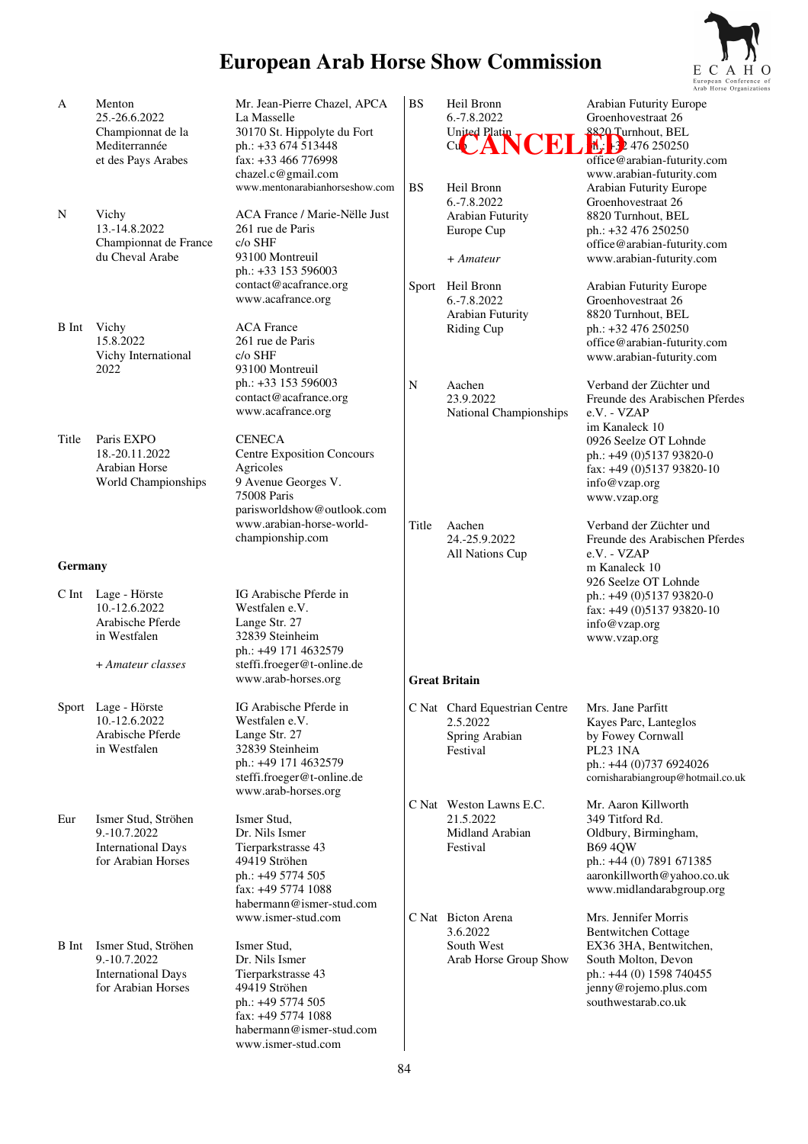6.-7.8.2022 Groenhovestraat 26<br>United Platin T

www.arabian-futurity.com<br>BS Heil Bronn Arabian Futurity Europe Heil Bronn Arabian Futurity Europe<br>6.-7.8.2022 Groenhovestraat 26

Arabian Futurity 8820 Turnhout, BEL<br>Europe Cup bh.: +32 476 250250

Sport Heil Bronn Arabian Futurity Europe 6.-7.8.2022 Groenhovestraat 26 Arabian Futurity 8820 Turnhout, BEL Riding Cup ph.: +32 476 250250

*+ Amateur* www.arabian-futurity.com

Cu**p Plant NCEL 1. 324 Ly** 476 250250

8820 Turnhout, BEL

Groenhovestraat 26

 $ph.: +32 476 250250$ office@arabian-futurity.com

office@arabian-futurity.com

 office@arabian-futurity.com www.arabian-futurity.com

30170 St. Hippolyte du Fort

www.mentonarabianhorseshow.com

chazel.c@gmail.com

 $261$  rue de Paris<br> $c/\sigma$  SHF

261 rue de Paris

ph.: +33 153 596003

 ph.: +33 153 596003 contact@acafrance.org www.acafrance.org



- A Menton Mr. Jean-Pierre Chazel, APCA 25.-26.6.2022 La Masselle<br>Championnat de la 30170 St. Hi Mediterrannée ph.: +33 674 513448 et des Pays Arabes fax: +33 466 776998
- N Vichy ACA France / Marie-Nëlle Just<br>13.-14.8.2022 261 rue de Paris Championnat de France du Cheval Arabe 93100 Montreuil
- B Int Vichy ACA France<br>15.8.2022 261 rue de Pa Vichy International c/o SHF 2022 93100 Montreuil
- contact@acafrance.org www.acafrance.org Title Paris EXPO CENECA 18.-20.11.2022 Centre Exposition Concours Arabian Horse Agricoles<br>
World Championships 9 Avenue Georges V. World Championships 75008 Paris parisworldshow@outlook.com www.arabian-horse-worldchampionship.com **Germany**  C Int Lage - Hörste IG Arabische Pferde in<br>10 - 12 6 2022 Westfalen e V Westfalen e.V. Arabische Pferde Lange Str. 27 in Westfalen 32839 Steinheim  $ph.: +49\ 171\ 4632579$ <br>+ Amateur classes steffi froeger@t-online + *Amateur classes* steffi.froeger@t-online.de www.arab-horses.org Sport Lage - Hörste IG Arabische Pferde in 10.-12.6.2022 Westfalen e.V. Westfalen e.V.<br>Lange Str. 27 Arabische Pferde in Westfalen 32839 Steinheim ph.: +49 171 4632579 steffi.froeger@t-online.de www.arab-horses.org Eur Ismer Stud, Ströhen Ismer Stud, 9.-10.7.2022 Dr. Nils Ismer International Days Tierparkstrasse 43 for Arabian Horses 49419 Ströhen ph.: +49 5774 505 fax: +49 5774 1088 habermann@ismer-stud.com www.ismer-stud.com B Int Ismer Stud, Ströhen Ismer Stud, 9.-10.7.2022 Dr. Nils Ismer<br>International Days Tierparkstrasse 43 International Days<br>
for Arabian Horses<br>
49419 Ströhen for Arabian Horses ph.: +49 5774 505 fax: +49 5774 1088 habermann@ismer-stud.com www.ismer-stud.com N Aachen Verband der Züchter und 23.9.2022 Freunde des Arabischen F Freunde des Arabischen Pferdes<br>e.V. - VZAP National Championships im Kanaleck 10 0926 Seelze OT Lohnde ph.: +49 (0)5137 93820-0 fax: +49 (0)5137 93820-10 info@vzap.org www.vzap.org Title Aachen Verband der Züchter und 24.-25.9.2022 Freunde des Arabischen Pferdes All Nations Cup e.V. - VZAP m Kanaleck 10 926 Seelze OT Lohnde ph.: +49 (0)5137 93820-0 fax: +49 (0)5137 93820-10 info@vzap.org www.vzap.org **Great Britain**  C Nat Chard Equestrian Centre Mrs. Jane Parfitt 2.5.2022 Kayes Parc, Lanteglos by Fowey Cornwall Festival PL23 1NA ph.: +44 (0)737 6924026 cornisharabiangroup@hotmail.co.uk C Nat Weston Lawns E.C. Mr. Aaron Killworth 21.5.2022 349 Titford Rd.<br>Midland Arabian 61 Oldbury, Birmin Oldbury, Birmingham, Festival B69 4QW ph.: +44 (0) 7891 671385 aaronkillworth@yahoo.co.uk www.midlandarabgroup.org C Nat Bicton Arena Mrs. Jennifer Morris 3.6.2022 Bentwitchen Cottage EX36 3HA, Bentwitchen, Arab Horse Group Show South Molton, Devon ph.: +44 (0) 1598 740455 jenny@rojemo.plus.com southwestarab.co.uk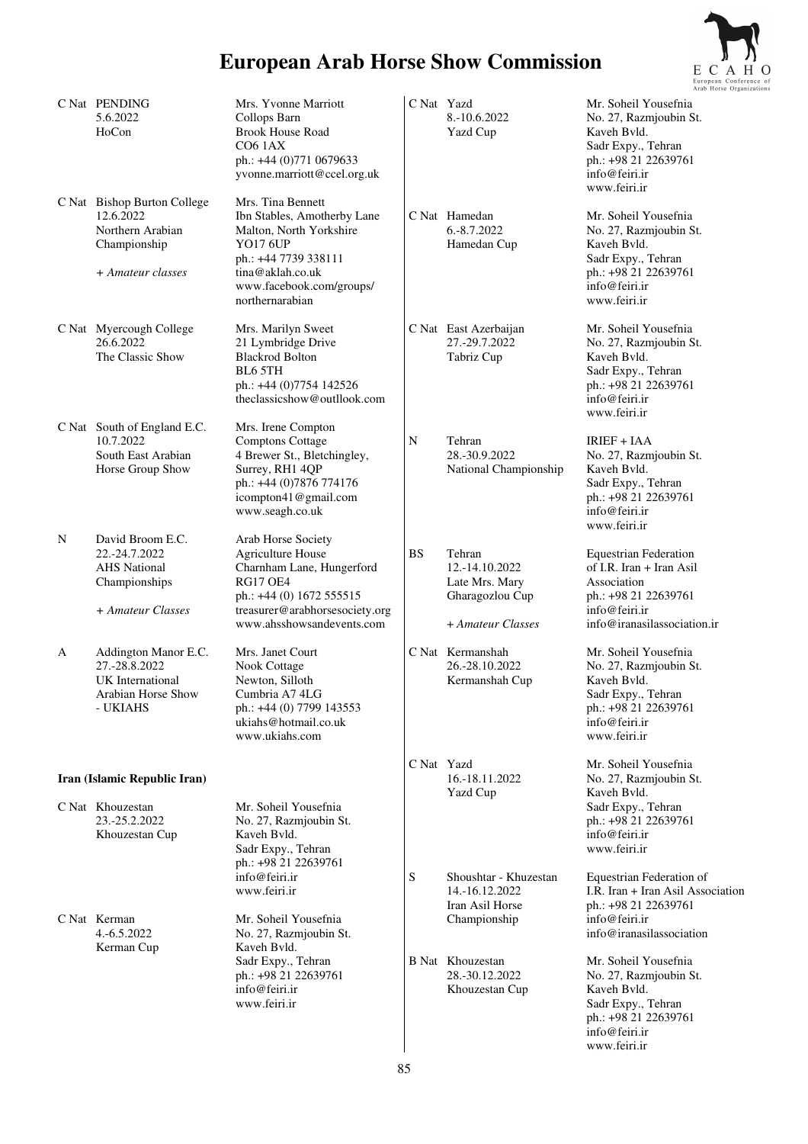

|   | C Nat PENDING<br>5.6.2022<br>HoCon                                                                | Mrs. Yvonne Marriott<br>Collops Barn<br><b>Brook House Road</b><br><b>CO6 1AX</b><br>ph.: +44 (0)771 0679633                                                                                                             | C Nat Yazd | 8.-10.6.2022<br>Yazd Cup                                                           | Mr. Soheil Yousefnia<br>No. 27, Razmjoubin St.<br>Kaveh Bvld.<br>Sadr Expy., Tehran<br>ph.: +98 21 22639761                                                                   |
|---|---------------------------------------------------------------------------------------------------|--------------------------------------------------------------------------------------------------------------------------------------------------------------------------------------------------------------------------|------------|------------------------------------------------------------------------------------|-------------------------------------------------------------------------------------------------------------------------------------------------------------------------------|
|   | C Nat Bishop Burton College<br>12.6.2022<br>Northern Arabian<br>Championship<br>+ Amateur classes | yvonne.marriott@ccel.org.uk<br>Mrs. Tina Bennett<br>Ibn Stables, Amotherby Lane<br>Malton, North Yorkshire<br><b>YO17 6UP</b><br>ph.: +44 7739 338111<br>tina@aklah.co.uk<br>www.facebook.com/groups/<br>northernarabian |            | C Nat Hamedan<br>6.-8.7.2022<br>Hamedan Cup                                        | info@feiri.ir<br>www.feiri.ir<br>Mr. Soheil Yousefnia<br>No. 27, Razmjoubin St.<br>Kaveh Bvld.<br>Sadr Expy., Tehran<br>ph.: +98 21 22639761<br>info@feiri.ir<br>www.feiri.ir |
|   | C Nat Myercough College<br>26.6.2022<br>The Classic Show                                          | Mrs. Marilyn Sweet<br>21 Lymbridge Drive<br><b>Blackrod Bolton</b><br><b>BL6 5TH</b><br>ph.: +44 (0)7754 142526<br>theclassicshow@outllook.com                                                                           |            | C Nat East Azerbaijan<br>27.-29.7.2022<br>Tabriz Cup                               | Mr. Soheil Yousefnia<br>No. 27, Razmjoubin St.<br>Kaveh Bvld.<br>Sadr Expy., Tehran<br>ph.: +98 21 22639761<br>info@feiri.ir<br>www.feiri.ir                                  |
|   | C Nat South of England E.C.<br>10.7.2022<br>South East Arabian<br>Horse Group Show                | Mrs. Irene Compton<br><b>Comptons Cottage</b><br>4 Brewer St., Bletchingley,<br>Surrey, RH1 4QP<br>ph.: +44 (0)7876 774176<br>icompton41@gmail.com<br>www.seagh.co.uk                                                    | N          | Tehran<br>28.-30.9.2022<br>National Championship                                   | <b>IRIEF + IAA</b><br>No. 27, Razmjoubin St.<br>Kaveh Byld.<br>Sadr Expy., Tehran<br>ph.: +98 21 22639761<br>info@feiri.ir<br>www.feiri.ir                                    |
| N | David Broom E.C.<br>22.-24.7.2022<br><b>AHS</b> National<br>Championships<br>+ Amateur Classes    | Arab Horse Society<br><b>Agriculture House</b><br>Charnham Lane, Hungerford<br><b>RG17 OE4</b><br>ph.: +44 (0) 1672 555515<br>treasurer@arabhorsesociety.org<br>www.ahsshowsandevents.com                                | <b>BS</b>  | Tehran<br>12.-14.10.2022<br>Late Mrs. Mary<br>Gharagozlou Cup<br>+ Amateur Classes | <b>Equestrian Federation</b><br>of I.R. Iran + Iran Asil<br>Association<br>ph.: +98 21 22639761<br>info@feiri.ir<br>info@iranasilassociation.ir                               |
| A | Addington Manor E.C.<br>27.-28.8.2022<br>UK International<br>Arabian Horse Show<br>- UKIAHS       | Mrs. Janet Court<br>Nook Cottage<br>Newton, Silloth<br>Cumbria A74LG<br>ph.: +44 (0) 7799 143553<br>ukiahs@hotmail.co.uk<br>www.ukiahs.com                                                                               |            | C Nat Kermanshah<br>26.-28.10.2022<br>Kermanshah Cup                               | Mr. Soheil Yousefnia<br>No. 27, Razmjoubin St.<br>Kaveh Bvld.<br>Sadr Expy., Tehran<br>ph.: +98 21 22639761<br>info@feiri.ir<br>www.feiri.ir                                  |
|   | Iran (Islamic Republic Iran)                                                                      |                                                                                                                                                                                                                          | C Nat Yazd | 16.-18.11.2022                                                                     | Mr. Soheil Yousefnia<br>No. 27, Razmjoubin St.                                                                                                                                |
|   | C Nat Khouzestan<br>23.-25.2.2022<br>Khouzestan Cup                                               | Mr. Soheil Yousefnia<br>No. 27, Razmjoubin St.<br>Kaveh Byld.<br>Sadr Expy., Tehran<br>ph.: +98 21 22639761                                                                                                              |            | <b>Yazd Cup</b>                                                                    | Kaveh Byld.<br>Sadr Expy., Tehran<br>ph.: +98 21 22639761<br>info@feiri.ir<br>www.feiri.ir                                                                                    |
|   | C Nat Kerman<br>4.-6.5.2022<br>Kerman Cup                                                         | info@feiri.ir<br>www.feiri.ir<br>Mr. Soheil Yousefnia<br>No. 27, Razmjoubin St.<br>Kaveh Byld.                                                                                                                           | S          | Shoushtar - Khuzestan<br>14.-16.12.2022<br>Iran Asil Horse<br>Championship         | Equestrian Federation of<br>I.R. Iran + Iran Asil Association<br>ph.: +98 21 22639761<br>info@feiri.ir<br>info@iranasilassociation                                            |
|   |                                                                                                   | Sadr Expy., Tehran<br>ph.: +98 21 22639761<br>info@feiri.ir<br>www.feiri.ir                                                                                                                                              |            | <b>B</b> Nat Khouzestan<br>28.-30.12.2022<br>Khouzestan Cup                        | Mr. Soheil Yousefnia<br>No. 27, Razmjoubin St.<br>Kaveh Bvld.<br>Sadr Expy., Tehran<br>ph.: +98 21 22639761<br>info@feiri.ir<br>www.feiri.ir                                  |

www.feiri.ir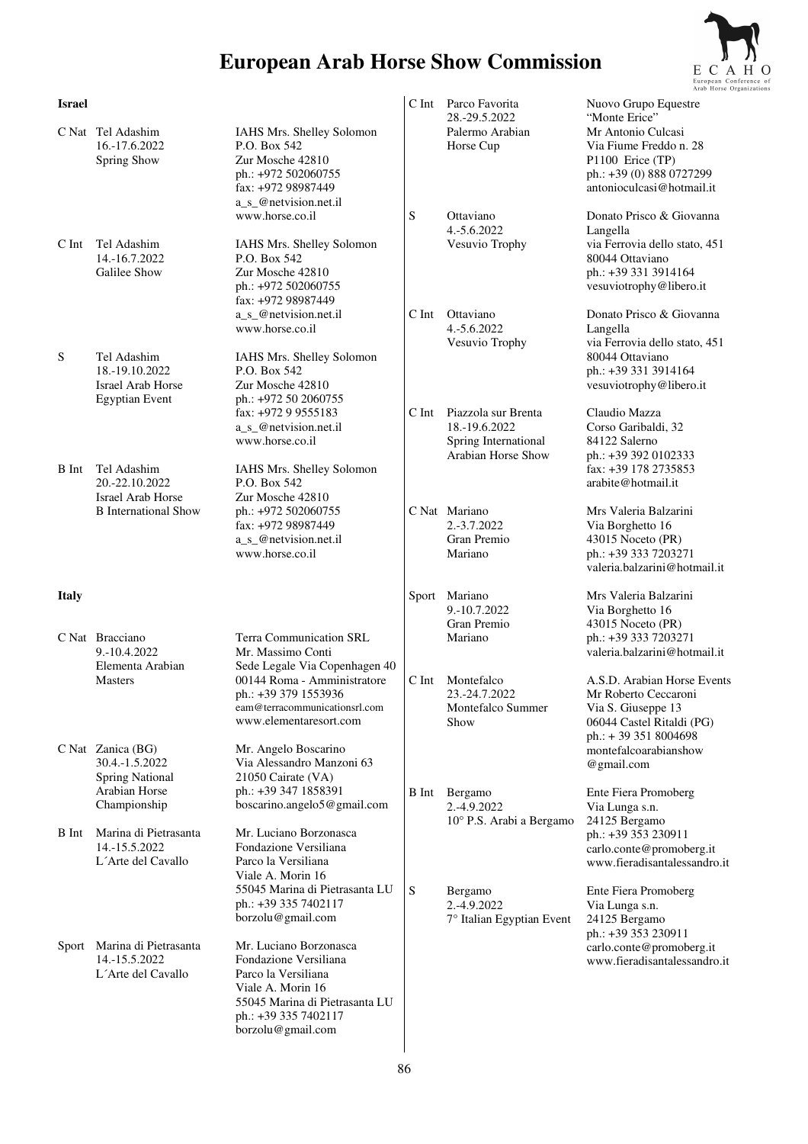

| <b>Israel</b> |                                                                             |                                                                                                                                                                              | $C$ Int      | Parco Favorita<br>28.-29.5.2022                                                    | Nuovo Grupo Equestre<br>"Monte Erice"                                                                                                       |
|---------------|-----------------------------------------------------------------------------|------------------------------------------------------------------------------------------------------------------------------------------------------------------------------|--------------|------------------------------------------------------------------------------------|---------------------------------------------------------------------------------------------------------------------------------------------|
|               | C Nat Tel Adashim<br>16.-17.6.2022<br>Spring Show                           | IAHS Mrs. Shelley Solomon<br>P.O. Box 542<br>Zur Mosche 42810<br>ph.: +972 502060755<br>fax: +972 98987449                                                                   |              | Palermo Arabian<br>Horse Cup                                                       | Mr Antonio Culcasi<br>Via Fiume Freddo n. 28<br>P1100 Erice (TP)<br>ph.: +39 (0) 888 0727299<br>antonioculcasi@hotmail.it                   |
| C Int         | Tel Adashim<br>14.-16.7.2022<br>Galilee Show                                | a_s_@netvision.net.il<br>www.horse.co.il<br>IAHS Mrs. Shelley Solomon<br>P.O. Box 542<br>Zur Mosche 42810<br>ph.: +972 502060755<br>fax: +972 98987449                       | S            | Ottaviano<br>4.-5.6.2022<br>Vesuvio Trophy                                         | Donato Prisco & Giovanna<br>Langella<br>via Ferrovia dello stato, 451<br>80044 Ottaviano<br>ph.: +39 331 3914164<br>vesuviotrophy@libero.it |
| S             | Tel Adashim<br>18.-19.10.2022<br>Israel Arab Horse<br><b>Egyptian Event</b> | a_s_@netvision.net.il<br>www.horse.co.il<br>IAHS Mrs. Shelley Solomon<br>P.O. Box 542<br>Zur Mosche 42810<br>ph.: +972 50 2060755                                            | $C$ Int      | Ottaviano<br>4.-5.6.2022<br>Vesuvio Trophy                                         | Donato Prisco & Giovanna<br>Langella<br>via Ferrovia dello stato, 451<br>80044 Ottaviano<br>ph.: +39 331 3914164<br>vesuviotrophy@libero.it |
| B Int         | Tel Adashim<br>20.-22.10.2022                                               | fax: +972 9 9555183<br>a_s_@netvision.net.il<br>www.horse.co.il<br>IAHS Mrs. Shelley Solomon<br>P.O. Box 542                                                                 | C Int        | Piazzola sur Brenta<br>18.-19.6.2022<br>Spring International<br>Arabian Horse Show | Claudio Mazza<br>Corso Garibaldi, 32<br>84122 Salerno<br>ph.: +39 392 0102333<br>fax: +39 178 2735853<br>arabite@hotmail.it                 |
|               | Israel Arab Horse<br><b>B</b> International Show                            | Zur Mosche 42810<br>ph.: +972 502060755<br>fax: +972 98987449<br>a_s_@netvision.net.il<br>www.horse.co.il                                                                    |              | C Nat Mariano<br>2.-3.7.2022<br>Gran Premio<br>Mariano                             | Mrs Valeria Balzarini<br>Via Borghetto 16<br>43015 Noceto (PR)<br>ph.: +39 333 7203271<br>valeria.balzarini@hotmail.it                      |
| <b>Italy</b>  |                                                                             |                                                                                                                                                                              | Sport        | Mariano<br>9.-10.7.2022<br>Gran Premio                                             | Mrs Valeria Balzarini<br>Via Borghetto 16<br>43015 Noceto (PR)                                                                              |
|               | C Nat Bracciano<br>9.-10.4.2022<br>Elementa Arabian<br><b>Masters</b>       | <b>Terra Communication SRL</b><br>Mr. Massimo Conti<br>Sede Legale Via Copenhagen 40<br>00144 Roma - Amministratore<br>ph.: +39 379 1553936<br>eam@terracommunicationsrl.com | C Int        | Mariano<br>Montefalco<br>23.-24.7.2022<br>Montefalco Summer                        | ph.: +39 333 7203271<br>valeria.balzarini@hotmail.it<br>A.S.D. Arabian Horse Events<br>Mr Roberto Ceccaroni                                 |
|               | C Nat Zanica (BG)<br>30.4.-1.5.2022<br><b>Spring National</b>               | www.elementaresort.com<br>Mr. Angelo Boscarino<br>Via Alessandro Manzoni 63<br>21050 Cairate (VA)                                                                            |              | Show                                                                               | Via S. Giuseppe 13<br>06044 Castel Ritaldi (PG)<br>ph.: +39 351 8004698<br>montefalcoarabianshow<br>@gmail.com                              |
|               | Arabian Horse<br>Championship                                               | ph.: +39 347 1858391<br>boscarino.angelo5@gmail.com                                                                                                                          | <b>B</b> Int | Bergamo<br>2.-4.9.2022<br>10° P.S. Arabi a Bergamo                                 | Ente Fiera Promoberg<br>Via Lunga s.n.<br>24125 Bergamo                                                                                     |
| B Int         | Marina di Pietrasanta<br>14.-15.5.2022<br>L'Arte del Cavallo                | Mr. Luciano Borzonasca<br>Fondazione Versiliana<br>Parco la Versiliana<br>Viale A. Morin 16                                                                                  |              |                                                                                    | ph.: +39 353 230911<br>carlo.conte@promoberg.it<br>www.fieradisantalessandro.it                                                             |
|               |                                                                             | 55045 Marina di Pietrasanta LU<br>ph.: +39 335 7402117<br>borzolu@gmail.com                                                                                                  | S            | Bergamo<br>2.-4.9.2022<br>7° Italian Egyptian Event                                | Ente Fiera Promoberg<br>Via Lunga s.n.<br>24125 Bergamo<br>ph.: +39 353 230911                                                              |
|               | Sport Marina di Pietrasanta<br>14.-15.5.2022<br>L'Arte del Cavallo          | Mr. Luciano Borzonasca<br>Fondazione Versiliana<br>Parco la Versiliana<br>Viale A. Morin 16<br>55045 Marina di Pietrasanta LU                                                |              |                                                                                    | carlo.conte@promoberg.it<br>www.fieradisantalessandro.it                                                                                    |

 ph.: +39 335 7402117 borzolu@gmail.com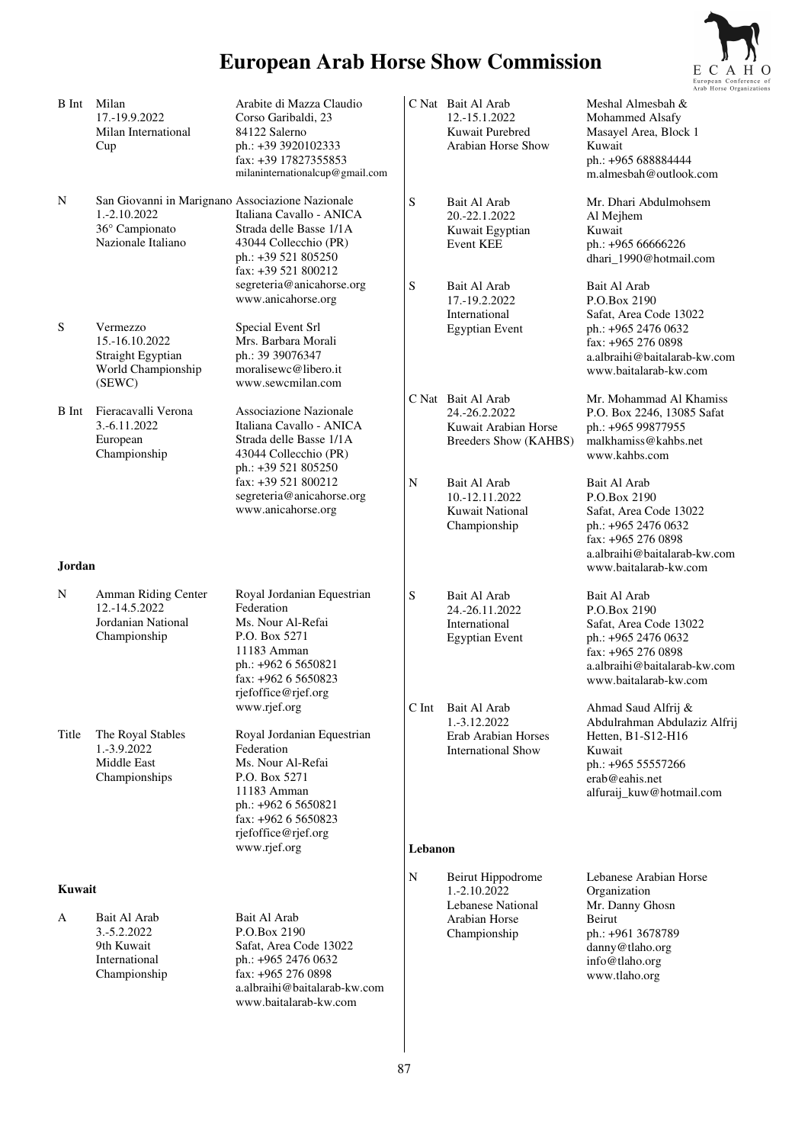

|              |                                                                                                          |                                                                                                                                                                                    |             |                                                                                      | Arab Horse Orga                                                                                                                                              |
|--------------|----------------------------------------------------------------------------------------------------------|------------------------------------------------------------------------------------------------------------------------------------------------------------------------------------|-------------|--------------------------------------------------------------------------------------|--------------------------------------------------------------------------------------------------------------------------------------------------------------|
| B Int        | Milan<br>17.-19.9.2022<br>Milan International<br>Cup                                                     | Arabite di Mazza Claudio<br>Corso Garibaldi, 23<br>84122 Salerno<br>ph.: +39 3920102333<br>fax: +39 17827355853<br>milaninternationalcup@gmail.com                                 |             | C Nat Bait Al Arab<br>12.-15.1.2022<br>Kuwait Purebred<br>Arabian Horse Show         | Meshal Almesbah &<br>Mohammed Alsafy<br>Masayel Area, Block 1<br>Kuwait<br>ph.: +965 688884444<br>m.almesbah@outlook.com                                     |
| N            | San Giovanni in Marignano Associazione Nazionale<br>1.-2.10.2022<br>36° Campionato<br>Nazionale Italiano | Italiana Cavallo - ANICA<br>Strada delle Basse 1/1A<br>43044 Collecchio (PR)<br>ph.: +39 521 805250<br>fax: +39 521 800212                                                         | ${\bf S}$   | Bait Al Arab<br>20.-22.1.2022<br>Kuwait Egyptian<br><b>Event KEE</b>                 | Mr. Dhari Abdulmohsem<br>Al Mejhem<br>Kuwait<br>ph.: +965 66666226<br>dhari_1990@hotmail.com                                                                 |
|              |                                                                                                          | segreteria@anicahorse.org<br>www.anicahorse.org                                                                                                                                    | S           | Bait Al Arab<br>17.-19.2.2022                                                        | Bait Al Arab<br>P.O.Box 2190                                                                                                                                 |
| S            | Vermezzo<br>15.-16.10.2022<br>Straight Egyptian<br>World Championship<br>(SEWC)                          | Special Event Srl<br>Mrs. Barbara Morali<br>ph.: 39 39076347<br>moralisewc@libero.it<br>www.sewcmilan.com                                                                          |             | International<br><b>Egyptian Event</b>                                               | Safat, Area Code 13022<br>ph.: +965 2476 0632<br>fax: +965 276 0898<br>a.albraihi@baitalarab-kw.com<br>www.baitalarab-kw.com                                 |
| <b>B</b> Int | Fieracavalli Verona<br>3.-6.11.2022<br>European<br>Championship                                          | <b>Associazione Nazionale</b><br>Italiana Cavallo - ANICA<br>Strada delle Basse 1/1A<br>43044 Collecchio (PR)<br>ph.: +39 521 805250                                               |             | C Nat Bait Al Arab<br>24.-26.2.2022<br>Kuwait Arabian Horse<br>Breeders Show (KAHBS) | Mr. Mohammad Al Khamiss<br>P.O. Box 2246, 13085 Safat<br>ph.: +965 99877955<br>malkhamiss@kahbs.net<br>www.kahbs.com                                         |
|              |                                                                                                          | fax: +39 521 800212<br>segreteria@anicahorse.org<br>www.anicahorse.org                                                                                                             | $\mathbf N$ | Bait Al Arab<br>10.-12.11.2022<br><b>Kuwait National</b><br>Championship             | Bait Al Arab<br>P.O.Box 2190<br>Safat, Area Code 13022<br>ph.: +965 2476 0632<br>fax: +965 276 0898<br>a.albraihi@baitalarab-kw.com                          |
| Jordan       |                                                                                                          |                                                                                                                                                                                    |             |                                                                                      | www.baitalarab-kw.com                                                                                                                                        |
| N            | Amman Riding Center<br>12.-14.5.2022<br>Jordanian National<br>Championship                               | Royal Jordanian Equestrian<br>Federation<br>Ms. Nour Al-Refai<br>P.O. Box 5271<br>11183 Amman<br>ph.: +962 6 5650821<br>fax: +962 6 5650823<br>rjefoffice@rjef.org                 | S           | Bait Al Arab<br>24.-26.11.2022<br>International<br><b>Egyptian Event</b>             | Bait Al Arab<br>P.O.Box 2190<br>Safat, Area Code 13022<br>ph.: +965 2476 0632<br>fax: +965 276 0898<br>a.albraihi@baitalarab-kw.com<br>www.baitalarab-kw.com |
|              |                                                                                                          | www.rjef.org                                                                                                                                                                       | C Int       | Bait Al Arab<br>1.-3.12.2022                                                         | Ahmad Saud Alfrij &<br>Abdulrahman Abdulaziz Alfrij                                                                                                          |
| Title        | The Royal Stables<br>1.-3.9.2022<br>Middle East<br>Championships                                         | Royal Jordanian Equestrian<br>Federation<br>Ms. Nour Al-Refai<br>P.O. Box 5271<br>11183 Amman<br>ph.: +962 6 5650821<br>fax: +962 6 5650823<br>rjefoffice@rjef.org<br>www.rjef.org | Lebanon     | Erab Arabian Horses<br><b>International Show</b>                                     | Hetten, B1-S12-H16<br>Kuwait<br>ph.: +965 55557266<br>erab@eahis.net<br>alfuraij_kuw@hotmail.com                                                             |
| Kuwait       |                                                                                                          |                                                                                                                                                                                    | $\mathbf N$ | Beirut Hippodrome                                                                    | Lebanese Arabian Horse                                                                                                                                       |
| A            | Bait Al Arab<br>3.-5.2.2022<br>9th Kuwait<br>International<br>Championship                               | Bait Al Arab<br>P.O.Box 2190<br>Safat, Area Code 13022<br>ph.: +965 2476 0632<br>fax: +965 276 0898<br>a.albraihi@baitalarab-kw.com<br>www.baitalarab-kw.com                       |             | 1.-2.10.2022<br>Lebanese National<br>Arabian Horse<br>Championship                   | Organization<br>Mr. Danny Ghosn<br>Beirut<br>ph.: +961 3678789<br>danny@tlaho.org<br>info@tlaho.org<br>www.tlaho.org                                         |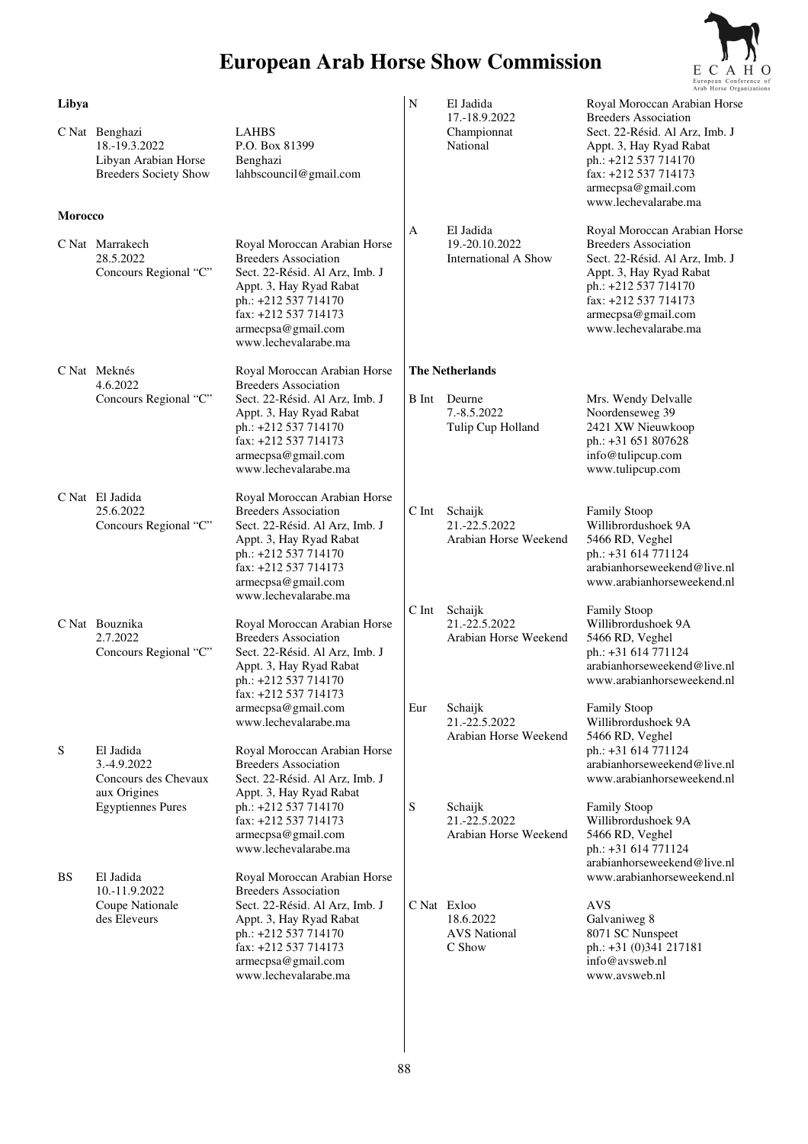

|                         |                                                                                              |                                                                                                                                                                                                                                   |              |                                                                               | Arab Horse Organiza                                                                                                                                                                                                    |
|-------------------------|----------------------------------------------------------------------------------------------|-----------------------------------------------------------------------------------------------------------------------------------------------------------------------------------------------------------------------------------|--------------|-------------------------------------------------------------------------------|------------------------------------------------------------------------------------------------------------------------------------------------------------------------------------------------------------------------|
| Libya<br><b>Morocco</b> | C Nat Benghazi<br>18.-19.3.2022<br>Libyan Arabian Horse<br><b>Breeders Society Show</b>      | <b>LAHBS</b><br>P.O. Box 81399<br>Benghazi<br>lahbscouncil@gmail.com                                                                                                                                                              | $\mathbf N$  | El Jadida<br>17.-18.9.2022<br>Championnat<br>National                         | Royal Moroccan Arabian Horse<br><b>Breeders Association</b><br>Sect. 22-Résid. Al Arz, Imb. J<br>Appt. 3, Hay Ryad Rabat<br>ph.: +212 537 714170<br>fax: +212 537 714173<br>armecpsa@gmail.com<br>www.lechevalarabe.ma |
|                         | C Nat Marrakech<br>28.5.2022<br>Concours Regional "C"                                        | Royal Moroccan Arabian Horse<br><b>Breeders Association</b><br>Sect. 22-Résid. Al Arz, Imb. J<br>Appt. 3, Hay Ryad Rabat<br>ph.: +212 537 714170<br>fax: +212 537 714173<br>armecpsa@gmail.com<br>www.lechevalarabe.ma            | A            | El Jadida<br>19.-20.10.2022<br><b>International A Show</b>                    | Royal Moroccan Arabian Horse<br><b>Breeders Association</b><br>Sect. 22-Résid. Al Arz, Imb. J<br>Appt. 3, Hay Ryad Rabat<br>ph.: +212 537 714170<br>fax: +212 537 714173<br>armecpsa@gmail.com<br>www.lechevalarabe.ma |
|                         | C Nat Meknés<br>4.6.2022<br>Concours Regional "C"                                            | Royal Moroccan Arabian Horse<br><b>Breeders Association</b><br>Sect. 22-Résid. Al Arz, Imb. J<br>Appt. 3, Hay Ryad Rabat<br>ph.: +212 537 714170<br>fax: +212 537 714173<br>armecpsa@gmail.com<br>www.lechevalarabe.ma            | B Int        | <b>The Netherlands</b><br>Deurne<br>7.-8.5.2022<br>Tulip Cup Holland          | Mrs. Wendy Delvalle<br>Noordenseweg 39<br>2421 XW Nieuwkoop<br>ph.: +31 651 807628<br>info@tulipcup.com<br>www.tulipcup.com                                                                                            |
|                         | C Nat El Jadida<br>25.6.2022<br>Concours Regional "C"                                        | Royal Moroccan Arabian Horse<br><b>Breeders Association</b><br>Sect. 22-Résid. Al Arz, Imb. J<br>Appt. 3, Hay Ryad Rabat<br>ph.: +212 537 714170<br>fax: +212 537 714173<br>armecpsa@gmail.com<br>www.lechevalarabe.ma            | $C$ Int      | Schaijk<br>21.-22.5.2022<br>Arabian Horse Weekend                             | <b>Family Stoop</b><br>Willibrordushoek 9A<br>5466 RD, Veghel<br>ph.: +31 614 771124<br>arabianhorseweekend@live.nl<br>www.arabianhorseweekend.nl                                                                      |
|                         | C Nat Bouznika<br>2.7.2022<br>Concours Regional "C"                                          | Royal Moroccan Arabian Horse<br><b>Breeders Association</b><br>Sect. 22-Résid. Al Arz, Imb. J<br>Appt. 3, Hay Ryad Rabat<br>ph.: +212 537 714170<br>$\text{fax}: +212, 537, 714173$<br>armecpsa@gmail.com<br>www.lechevalarabe.ma | C Int<br>Eur | Schaijk<br>21.-22.5.2022<br>Arabian Horse Weekend<br>Schaijk<br>21.-22.5.2022 | <b>Family Stoop</b><br>Willibrordushoek 9A<br>5466 RD, Veghel<br>ph.: +31 614 771124<br>arabianhorseweekend@live.nl<br>www.arabianhorseweekend.nl<br>Family Stoop<br>Willibrordushoek 9A                               |
| S                       | El Jadida<br>3.-4.9.2022<br>Concours des Chevaux<br>aux Origines<br><b>Egyptiennes Pures</b> | Royal Moroccan Arabian Horse<br><b>Breeders Association</b><br>Sect. 22-Résid. Al Arz, Imb. J<br>Appt. 3, Hay Ryad Rabat<br>ph.: +212 537 714170<br>fax: +212 537 714173<br>armecpsa@gmail.com<br>www.lechevalarabe.ma            | ${\bf S}$    | Arabian Horse Weekend<br>Schaijk<br>21.-22.5.2022<br>Arabian Horse Weekend    | 5466 RD, Veghel<br>ph.: +31 614 771124<br>arabianhorseweekend@live.nl<br>www.arabianhorseweekend.nl<br><b>Family Stoop</b><br>Willibrordushoek 9A<br>5466 RD, Veghel<br>ph.: +31 614 771124                            |
| BS                      | El Jadida<br>10.-11.9.2022<br>Coupe Nationale<br>des Eleveurs                                | Royal Moroccan Arabian Horse<br><b>Breeders Association</b><br>Sect. 22-Résid. Al Arz, Imb. J<br>Appt. 3, Hay Ryad Rabat<br>ph.: +212 537 714170<br>fax: +212 537 714173<br>armecpsa@gmail.com<br>www.lechevalarabe.ma            | C Nat Exloo  | 18.6.2022<br><b>AVS</b> National<br>C Show                                    | arabianhorseweekend@live.nl<br>www.arabianhorseweekend.nl<br><b>AVS</b><br>Galvaniweg 8<br>8071 SC Nunspeet<br>ph.: +31 (0)341 217181<br>info@avsweb.nl<br>www.avsweb.nl                                               |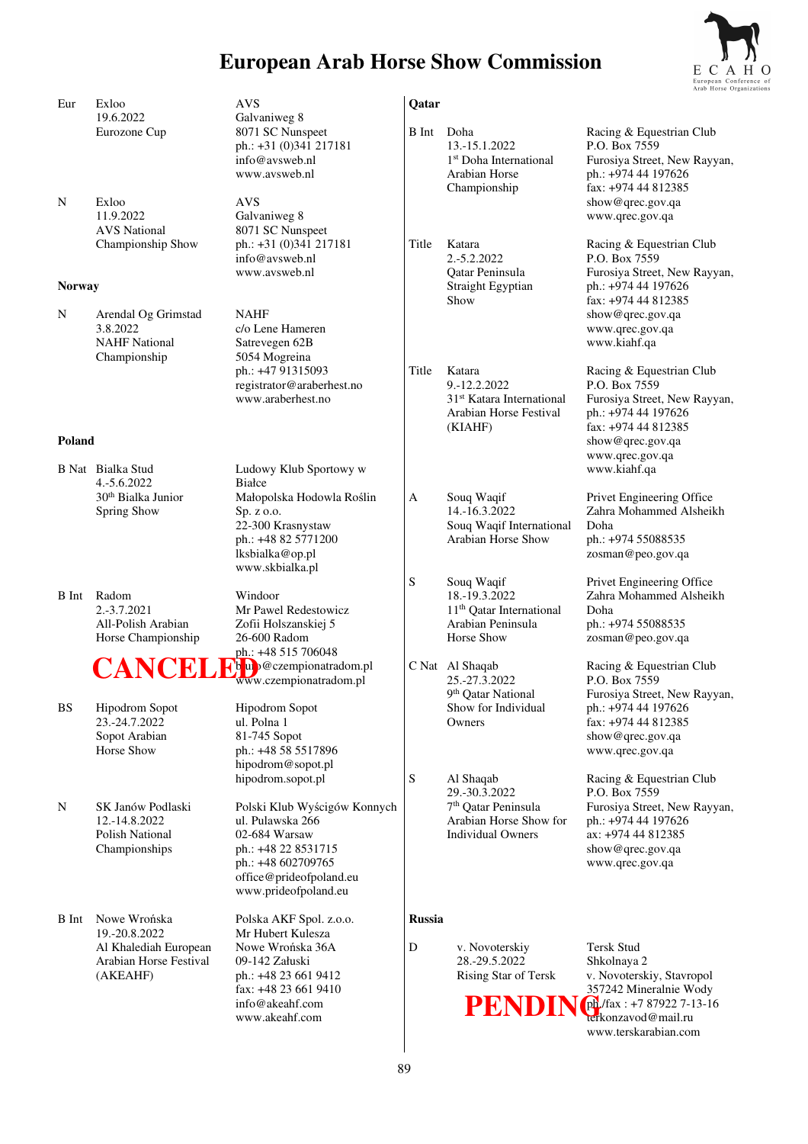

|               |                                                                              |                                                                                                                                                                |               |                                                                                                                     | European Confe<br>Arab Horse Orga                                                                                                                             |
|---------------|------------------------------------------------------------------------------|----------------------------------------------------------------------------------------------------------------------------------------------------------------|---------------|---------------------------------------------------------------------------------------------------------------------|---------------------------------------------------------------------------------------------------------------------------------------------------------------|
| Eur           | Exloo                                                                        | <b>AVS</b>                                                                                                                                                     | Qatar         |                                                                                                                     |                                                                                                                                                               |
|               | 19.6.2022<br>Eurozone Cup                                                    | Galvaniweg 8<br>8071 SC Nunspeet<br>ph.: +31 (0)341 217181<br>info@avsweb.nl<br>www.aysweb.nl                                                                  | B Int         | Doha<br>13.-15.1.2022<br>1 <sup>st</sup> Doha International<br>Arabian Horse<br>Championship                        | Racing & Equestrian Club<br>P.O. Box 7559<br>Furosiya Street, New Rayyan,<br>ph.: +974 44 197626<br>fax: +974 44 812385                                       |
| N             | Exloo<br>11.9.2022<br><b>AVS</b> National<br>Championship Show               | AVS<br>Galvaniweg 8<br>8071 SC Nunspeet<br>ph.: +31 (0)341 217181                                                                                              | Title         | Katara                                                                                                              | show@qrec.gov.qa<br>www.qrec.gov.qa<br>Racing & Equestrian Club                                                                                               |
| <b>Norway</b> |                                                                              | info@avsweb.nl<br>www.avsweb.nl                                                                                                                                |               | 2.-5.2.2022<br>Qatar Peninsula<br>Straight Egyptian                                                                 | P.O. Box 7559<br>Furosiya Street, New Rayyan,<br>ph.: +974 44 197626                                                                                          |
|               |                                                                              |                                                                                                                                                                |               | Show                                                                                                                | fax: +974 44 812385                                                                                                                                           |
| N             | Arendal Og Grimstad<br>3.8.2022<br><b>NAHF</b> National<br>Championship      | <b>NAHF</b><br>c/o Lene Hameren<br>Satrevegen 62B<br>5054 Mogreina                                                                                             |               |                                                                                                                     | show@qrec.gov.qa<br>www.qrec.gov.qa<br>www.kiahf.qa                                                                                                           |
|               |                                                                              | ph.: +47 91315093<br>registrator@araberhest.no<br>www.araberhest.no                                                                                            | Title         | Katara<br>9.-12.2.2022<br>31 <sup>st</sup> Katara International<br>Arabian Horse Festival                           | Racing & Equestrian Club<br>P.O. Box 7559<br>Furosiya Street, New Rayyan,<br>ph.: +974 44 197626                                                              |
| Poland        |                                                                              |                                                                                                                                                                |               | (KIAHF)                                                                                                             | fax: +974 44 812385<br>show@qrec.gov.qa<br>www.qrec.gov.qa                                                                                                    |
|               | B Nat Bialka Stud<br>4.-5.6.2022                                             | Ludowy Klub Sportowy w<br>Białce                                                                                                                               |               |                                                                                                                     | www.kiahf.qa                                                                                                                                                  |
|               | 30 <sup>th</sup> Bialka Junior<br>Spring Show                                | Małopolska Hodowla Roślin<br>Sp. z o.o.<br>22-300 Krasnystaw<br>ph.: +48 82 5771200<br>lksbialka@op.pl<br>www.skbialka.pl                                      | A             | Souq Waqif<br>14.-16.3.2022<br>Souq Waqif International<br>Arabian Horse Show                                       | Privet Engineering Office<br>Zahra Mohammed Alsheikh<br>Doha<br>ph.: +974 55088535<br>zosman@peo.gov.qa                                                       |
| B Int         | Radom<br>2.-3.7.2021<br>All-Polish Arabian<br>Horse Championship             | Windoor<br>Mr Pawel Redestowicz<br>Zofii Holszanskiej 5<br>26-600 Radom<br>ph.: +48 515 706048                                                                 | S             | Souq Waqif<br>18.-19.3.2022<br>11 <sup>th</sup> Qatar International<br>Arabian Peninsula<br>Horse Show              | Privet Engineering Office<br>Zahra Mohammed Alsheikh<br>Doha<br>ph.: +974 55088535<br>zosman@peo.gov.qa                                                       |
|               | CANCI<br>К,                                                                  | H <sup>'b</sup> ub@czempionatradom.pl<br>www.czempionatradom.pl                                                                                                |               | C Nat Al Shaqab<br>25.-27.3.2022                                                                                    | Racing & Equestrian Club<br>P.O. Box 7559                                                                                                                     |
| <b>BS</b>     | <b>Hipodrom Sopot</b><br>23.-24.7.2022<br>Sopot Arabian<br>Horse Show        | Hipodrom Sopot<br>ul. Polna 1<br>81-745 Sopot<br>ph.: +48 58 5517896<br>hipodrom@sopot.pl                                                                      |               | 9 <sup>th</sup> Qatar National<br>Show for Individual<br>Owners                                                     | Furosiya Street, New Rayyan,<br>ph.: +974 44 197626<br>fax: +974 44 812385<br>show@qrec.gov.qa<br>www.qrec.gov.qa                                             |
| N             | SK Janów Podlaski<br>12.-14.8.2022<br>Polish National<br>Championships       | hipodrom.sopot.pl<br>Polski Klub Wyścigów Konnych<br>ul. Pulawska 266<br>02-684 Warsaw<br>ph.: +48 22 8531715<br>ph.: +48 602709765<br>office@prideofpoland.eu | ${\bf S}$     | Al Shaqab<br>29.-30.3.2022<br>7 <sup>th</sup> Qatar Peninsula<br>Arabian Horse Show for<br><b>Individual Owners</b> | Racing & Equestrian Club<br>P.O. Box 7559<br>Furosiya Street, New Rayyan,<br>ph.: +974 44 197626<br>ax: +974 44 812385<br>show@qrec.gov.qa<br>www.qrec.gov.qa |
| B Int         | Nowe Wrońska                                                                 | www.prideofpoland.eu<br>Polska AKF Spol. z.o.o.                                                                                                                | <b>Russia</b> |                                                                                                                     |                                                                                                                                                               |
|               | 19.-20.8.2022<br>Al Khalediah European<br>Arabian Horse Festival<br>(AKEAHF) | Mr Hubert Kulesza<br>Nowe Wrońska 36A<br>09-142 Załuski<br>ph.: +48 23 661 9412<br>fax: +48 23 661 9410<br>info@akeahf.com<br>www.akeahf.com                   | ${\bf D}$     | v. Novoterskiy<br>28.-29.5.2022<br>Rising Star of Tersk<br>PENDIN                                                   | Tersk Stud<br>Shkolnaya 2<br>v. Novoterskiy, Stavropol<br>357242 Mineralnie Wody<br>ph/fax: +7 87922 7-13-16<br>terkonzavod@mail.ru<br>www.terskarabian.com   |
|               |                                                                              |                                                                                                                                                                |               |                                                                                                                     |                                                                                                                                                               |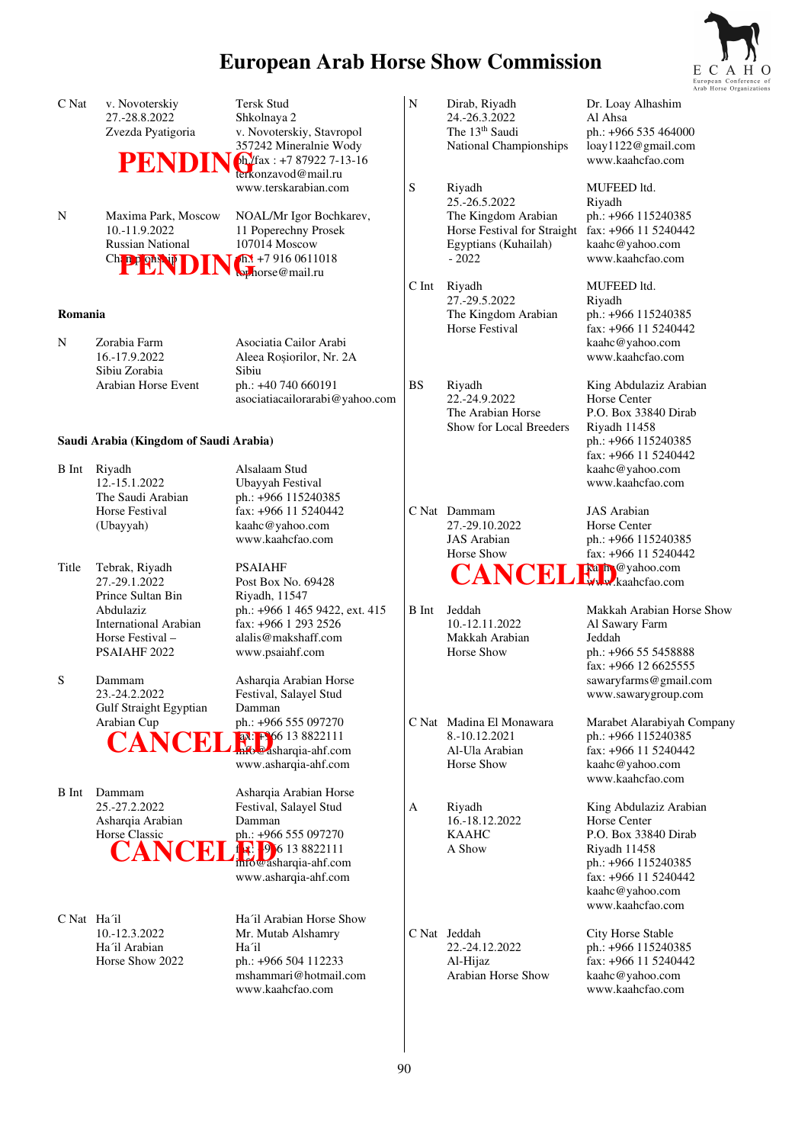

|              |                                                                                                               |                                                                                                                                                                       |           |                                                                                        | Arab Horse Org                                                                                                                                   |
|--------------|---------------------------------------------------------------------------------------------------------------|-----------------------------------------------------------------------------------------------------------------------------------------------------------------------|-----------|----------------------------------------------------------------------------------------|--------------------------------------------------------------------------------------------------------------------------------------------------|
| C Nat        | v. Novoterskiy<br>27.-28.8.2022<br>Zvezda Pyatigoria                                                          | <b>Tersk Stud</b><br>Shkolnaya 2<br>v. Novoterskiy, Stavropol<br>357242 Mineralnie Wody                                                                               | ${\bf N}$ | Dirab, Riyadh<br>24.-26.3.2022<br>The 13 <sup>th</sup> Saudi<br>National Championships | Dr. Loay Alhashim<br>Al Ahsa<br>ph.: +966 535 464000<br>loay1122@gmail.com<br>www.kaahcfao.com                                                   |
|              |                                                                                                               | $PENDIN$<br>terkonzavod@mail.ru<br>www.terskarabian.com                                                                                                               | S         | Riyadh<br>25.-26.5.2022                                                                | MUFEED ltd.                                                                                                                                      |
| N            | Maxima Park, Moscow<br>10.-11.9.2022<br><b>Russian National</b><br>Chappenin<br>D                             | NOAL/Mr Igor Bochkarev,<br>11 Poperechny Prosek<br>107014 Moscow<br>$\sqrt{h}$ +7 916 0611018<br>by horse@mail.ru                                                     |           | The Kingdom Arabian<br>Horse Festival for Straight<br>Egyptians (Kuhailah)<br>$-2022$  | Riyadh<br>ph.: +966 115240385<br>fax: +966 11 5240442<br>kaahc@yahoo.com<br>www.kaahcfao.com                                                     |
|              |                                                                                                               |                                                                                                                                                                       | C Int     | Riyadh                                                                                 | MUFEED ltd.                                                                                                                                      |
| Romania      |                                                                                                               |                                                                                                                                                                       |           | 27.-29.5.2022<br>The Kingdom Arabian<br><b>Horse Festival</b>                          | Riyadh<br>ph.: +966 115240385<br>fax: +966 11 5240442                                                                                            |
| N            | Zorabia Farm<br>16.-17.9.2022<br>Sibiu Zorabia                                                                | Asociatia Cailor Arabi<br>Aleea Roșiorilor, Nr. 2A<br>Sibiu                                                                                                           |           |                                                                                        | kaahc@yahoo.com<br>www.kaahcfao.com                                                                                                              |
|              | Arabian Horse Event                                                                                           | ph.: +40 740 660191<br>asociatiacailorarabi@yahoo.com                                                                                                                 | <b>BS</b> | Riyadh<br>22.-24.9.2022<br>The Arabian Horse<br>Show for Local Breeders                | King Abdulaziz Arabian<br>Horse Center<br>P.O. Box 33840 Dirab<br>Riyadh 11458                                                                   |
|              | Saudi Arabia (Kingdom of Saudi Arabia)                                                                        |                                                                                                                                                                       |           |                                                                                        | ph.: +966 115240385<br>fax: +966 11 5240442                                                                                                      |
|              | B Int Riyadh<br>12.-15.1.2022<br>The Saudi Arabian                                                            | Alsalaam Stud<br>Ubayyah Festival<br>ph.: +966 115240385                                                                                                              |           |                                                                                        | kaahc@yahoo.com<br>www.kaahcfao.com                                                                                                              |
|              | Horse Festival<br>(Ubayyah)                                                                                   | fax: +966 11 5240442<br>kaahc@yahoo.com<br>www.kaahcfao.com                                                                                                           |           | C Nat Dammam<br>27.-29.10.2022<br><b>JAS</b> Arabian<br>Horse Show                     | <b>JAS</b> Arabian<br>Horse Center<br>ph.: +966 115240385<br>fax: $+966$ 11 5240442                                                              |
| Title        | Tebrak, Riyadh<br>27.-29.1.2022                                                                               | <b>PSAIAHF</b><br>Post Box No. 69428                                                                                                                                  |           | <b>CANCEL Expression</b> Com                                                           |                                                                                                                                                  |
|              | Prince Sultan Bin<br>Abdulaziz<br><b>International Arabian</b><br>Horse Festival -<br>PSAIAHF <sub>2022</sub> | Riyadh, 11547<br>ph.: +966 1 465 9422, ext. 415<br>fax: +966 1 293 2526<br>alalis@makshaff.com<br>www.psaiahf.com                                                     | B Int     | Jeddah<br>10.-12.11.2022<br>Makkah Arabian<br>Horse Show                               | Makkah Arabian Horse Show<br>Al Sawary Farm<br>Jeddah<br>ph.: +966 55 5458888<br>fax: +966 12 6625555                                            |
| S            | Dammam<br>23.-24.2.2022<br>Gulf Straight Egyptian                                                             | Asharqia Arabian Horse<br>Festival, Salayel Stud<br>Damman                                                                                                            |           |                                                                                        | sawaryfarms@gmail.com<br>www.sawarygroup.com                                                                                                     |
|              | Arabian Cup<br>CANCEL                                                                                         | ph.: +966 555 097270<br><b>ax:</b> FS6 13 8822111<br>www.asharqia-ahf.com                                                                                             |           | C Nat Madina El Monawara<br>8.-10.12.2021<br>Al-Ula Arabian<br>Horse Show              | Marabet Alarabiyah Company<br>ph.: +966 115240385<br>fax: +966 11 5240442<br>kaahc@yahoo.com<br>www.kaahcfao.com                                 |
| <b>B</b> Int | Dammam<br>25.-27.2.2022<br>Asharqia Arabian<br>Horse Classic<br>CANCEL                                        | Asharqia Arabian Horse<br>Festival, Salayel Stud<br>Damman<br>ph.: +966 555 097270<br>$\frac{1}{2}$ , 9 6 13 8822111<br>infowasharqia-ahf.com<br>www.asharqia-ahf.com | A         | Riyadh<br>16.-18.12.2022<br><b>KAAHC</b><br>A Show                                     | King Abdulaziz Arabian<br>Horse Center<br>P.O. Box 33840 Dirab<br>Riyadh 11458<br>ph.: +966 115240385<br>fax: +966 11 5240442<br>kaahc@yahoo.com |
| C Nat Ha'il  | 10.-12.3.2022<br>Ha'il Arabian<br>Horse Show 2022                                                             | Ha'il Arabian Horse Show<br>Mr. Mutab Alshamry<br>Ha'il<br>ph.: +966 504 112233<br>mshammari@hotmail.com<br>www.kaahcfao.com                                          |           | C Nat Jeddah<br>22.-24.12.2022<br>Al-Hijaz<br>Arabian Horse Show                       | www.kaahcfao.com<br>City Horse Stable<br>ph.: +966 115240385<br>fax: +966 11 5240442<br>kaahc@yahoo.com<br>www.kaahcfao.com                      |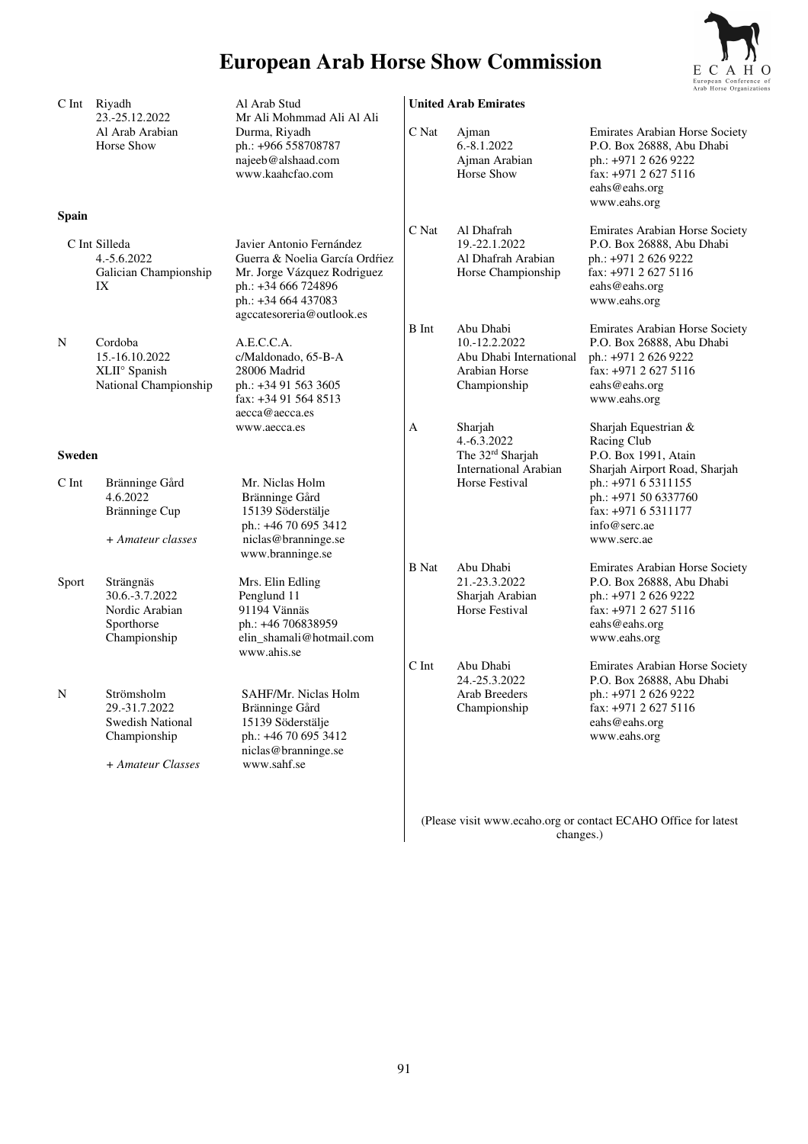

| C Int        | Riyadh<br>23.-25.12.2022                                                                    | Al Arab Stud<br>Mr Ali Mohmmad Ali Al Ali                                                                                                                            |                   | <b>United Arab Emirates</b>                                                                       |                                                                                                                                                                             |
|--------------|---------------------------------------------------------------------------------------------|----------------------------------------------------------------------------------------------------------------------------------------------------------------------|-------------------|---------------------------------------------------------------------------------------------------|-----------------------------------------------------------------------------------------------------------------------------------------------------------------------------|
|              | Al Arab Arabian<br>Horse Show                                                               | Durma, Riyadh<br>ph.: +966 558708787<br>najeeb@alshaad.com<br>www.kaahcfao.com                                                                                       | C Nat             | Ajman<br>6.-8.1.2022<br>Ajman Arabian<br>Horse Show                                               | Emirates Arabian Horse Society<br>P.O. Box 26888, Abu Dhabi<br>ph.: +971 2 626 9222<br>fax: +971 2 627 5116<br>eahs@eahs.org<br>www.eahs.org                                |
| <b>Spain</b> |                                                                                             |                                                                                                                                                                      | C Nat             | Al Dhafrah                                                                                        | <b>Emirates Arabian Horse Society</b>                                                                                                                                       |
|              | C Int Silleda<br>4.-5.6.2022<br>Galician Championship<br>IX                                 | Javier Antonio Fernández<br>Guerra & Noelia García Ordŕiez<br>Mr. Jorge Vázquez Rodriguez<br>ph.: +34 666 724896<br>ph.: +34 664 437083<br>agccatesoreria@outlook.es |                   | 19.-22.1.2022<br>Al Dhafrah Arabian<br>Horse Championship                                         | P.O. Box 26888, Abu Dhabi<br>ph.: +971 2 626 9222<br>fax: +971 2 627 5116<br>eahs@eahs.org<br>www.eahs.org                                                                  |
| N            | Cordoba<br>15.-16.10.2022<br>XLII° Spanish<br>National Championship                         | A.E.C.C.A.<br>c/Maldonado, 65-B-A<br>28006 Madrid<br>ph.: +34 91 563 3605<br>fax: +34 91 564 8513<br>aecca@aecca.es<br>www.aecca.es                                  | <b>B</b> Int<br>А | Abu Dhabi<br>10.-12.2.2022<br>Abu Dhabi International<br>Arabian Horse<br>Championship<br>Sharjah | <b>Emirates Arabian Horse Society</b><br>P.O. Box 26888, Abu Dhabi<br>ph.: +971 2 626 9222<br>fax: +971 2 627 5116<br>eahs@eahs.org<br>www.eahs.org<br>Sharjah Equestrian & |
|              | <b>Sweden</b>                                                                               |                                                                                                                                                                      |                   | 4.-6.3.2022<br>The 32 <sup>rd</sup> Sharjah<br><b>International Arabian</b>                       | Racing Club<br>P.O. Box 1991, Atain<br>Sharjah Airport Road, Sharjah                                                                                                        |
| C Int        | Bränninge Gård<br>4.6.2022<br>Bränninge Cup<br>+ Amateur classes                            | Mr. Niclas Holm<br>Bränninge Gård<br>15139 Söderstälje<br>ph.: +46 70 695 3412<br>niclas@branninge.se<br>www.branninge.se                                            |                   | Horse Festival                                                                                    | ph.: +971 6 5311155<br>ph.: +971 50 6337760<br>fax: +971 6 5311177<br>info@serc.ae<br>www.serc.ae                                                                           |
|              |                                                                                             |                                                                                                                                                                      | <b>B</b> Nat      | Abu Dhabi                                                                                         | Emirates Arabian Horse Society                                                                                                                                              |
| Sport        | Strängnäs<br>30.6.-3.7.2022<br>Nordic Arabian<br>Sporthorse<br>Championship                 | Mrs. Elin Edling<br>Penglund 11<br>91194 Vännäs<br>ph.: +46 706838959<br>elin_shamali@hotmail.com<br>www.ahis.se                                                     |                   | 21.-23.3.2022<br>Sharjah Arabian<br>Horse Festival                                                | P.O. Box 26888, Abu Dhabi<br>ph.: +971 2 626 9222<br>fax: +971 2 627 5116<br>eahs@eahs.org<br>www.eahs.org                                                                  |
| N            | Strömsholm<br>29.-31.7.2022<br><b>Swedish National</b><br>Championship<br>+ Amateur Classes | SAHF/Mr. Niclas Holm<br>Bränninge Gård<br>15139 Söderstälje<br>ph.: +46 70 695 3412<br>niclas@branninge.se<br>www.sahf.se                                            | C Int             | Abu Dhabi<br>24.-25.3.2022<br>Arab Breeders<br>Championship                                       | Emirates Arabian Horse Society<br>P.O. Box 26888, Abu Dhabi<br>ph.: +971 2 626 9222<br>fax: $+97126275116$<br>eahs@eahs.org<br>www.eahs.org                                 |
|              |                                                                                             |                                                                                                                                                                      |                   |                                                                                                   |                                                                                                                                                                             |

(Please visit www.ecaho.org or contact ECAHO Office for latest changes.)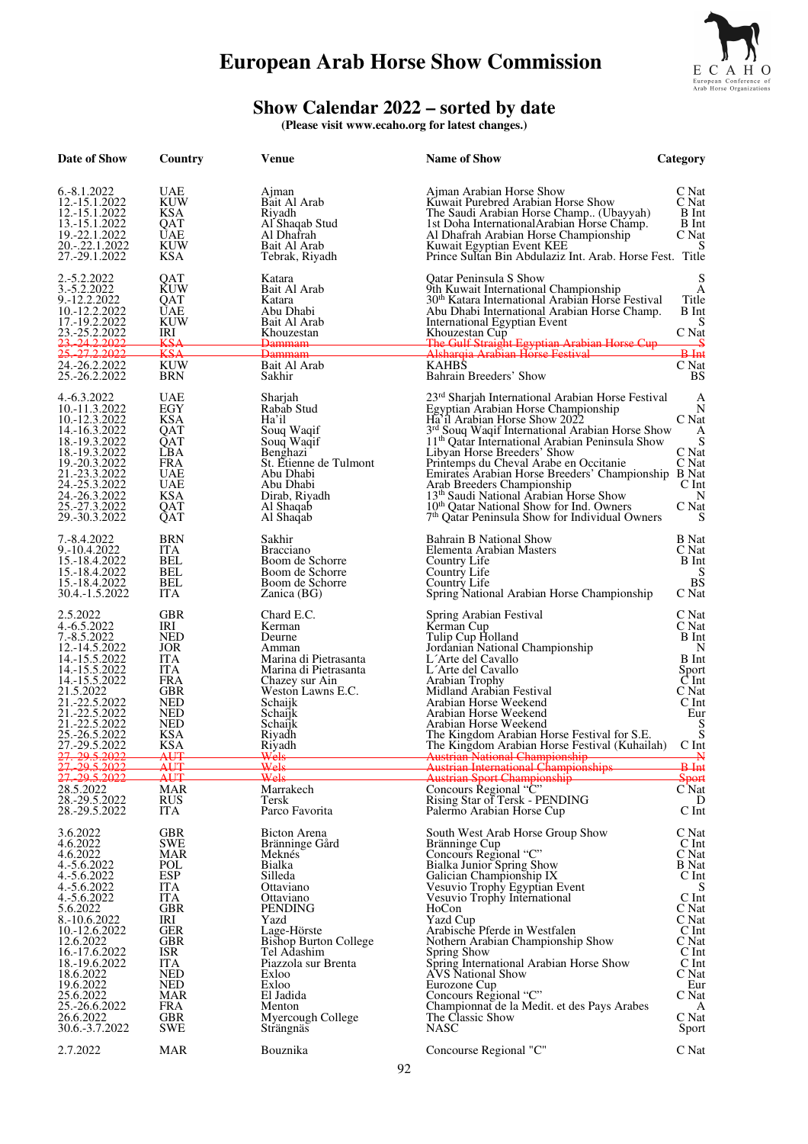

#### **Show Calendar 2022 – sorted by date**

**(Please visit www.ecaho.org for latest changes.)** 

| Date of Show                                                                                                                                                                                                                                                                                | Country                                                                                                                                                                                                                                                  | Venue                                                                                                                                                                                                                                                                                         | <b>Name of Show</b>                                                                                                                                                                                                                                                                                                                                                                                                                                                                                                                                                                   | Category                                                                                                                                                                        |
|---------------------------------------------------------------------------------------------------------------------------------------------------------------------------------------------------------------------------------------------------------------------------------------------|----------------------------------------------------------------------------------------------------------------------------------------------------------------------------------------------------------------------------------------------------------|-----------------------------------------------------------------------------------------------------------------------------------------------------------------------------------------------------------------------------------------------------------------------------------------------|---------------------------------------------------------------------------------------------------------------------------------------------------------------------------------------------------------------------------------------------------------------------------------------------------------------------------------------------------------------------------------------------------------------------------------------------------------------------------------------------------------------------------------------------------------------------------------------|---------------------------------------------------------------------------------------------------------------------------------------------------------------------------------|
| 6.-8.1.2022<br>12.-15.1.2022<br>12.-15.1.2022<br>13.-15.1.2022<br>19.-22.1.2022<br>20.-.22.1.2022<br>27.-29.1.2022                                                                                                                                                                          | UAE<br><b>KUW</b><br>KSA<br>QAT<br>UAE<br>KUW<br><b>KSA</b>                                                                                                                                                                                              | Ajman<br>Bait Al Arab<br>Riyadh<br>Al Shaqab Stud<br>Al Dhafrah<br>Bait Al Arab<br>Tebrak, Riyadh                                                                                                                                                                                             | Ajman Arabian Horse Show<br>Kuwait Purebred Arabian Horse Show<br>The Saudi Arabian Horse Champ (Ubayyah)<br>1st Doha International Arabian Horse Champ.<br>Al Dhafrah Arabian Horse Championship<br>Kuwait Egyptian Event KEE<br>Prince Sultan Bin Abdulaziz Int. Arab. Horse Fest. Title                                                                                                                                                                                                                                                                                            | C Nat<br>C Nat<br>B Int<br>B Int<br>C Nat<br>S                                                                                                                                  |
| 2.-5.2.2022<br>3.-5.2.2022<br>9.-12.2.2022<br>10.-12.2.2022<br>17.-19.2.2022<br>23.-25.2.2022<br><u>. 24.2.2022</u><br>25, 27, 2, 2022                                                                                                                                                      | QAT<br>KUW<br>QAT<br>UAE<br><b>KUW</b><br>IRI<br>KSA<br><b>KSA</b>                                                                                                                                                                                       | Katara<br>Bait Al Arab<br>Katara<br>Abu Dhabi<br>Bait Al Arab<br>Khouzestan<br><del>Dammam</del><br><del>Dammam</del>                                                                                                                                                                         | Oatar Peninsula S Show<br>9th Kuwait International Championship<br>30 <sup>th</sup> Katara International Arabian Horse Festival<br>Abu Dhabi International Arabian Horse Champ.<br><b>International Egyptian Event</b><br>Khouzestan Cup<br><b>The Gulf Straight Egyptian Arabian Horse Cup</b><br>Alsharqia Arabian Horse Festival                                                                                                                                                                                                                                                   | S<br>А<br>Title<br>B Int<br>S<br>C Nat<br>$B-Int$                                                                                                                               |
| 24.-26.2.2022<br>25.-26.2.2022                                                                                                                                                                                                                                                              | KUW<br><b>BRN</b>                                                                                                                                                                                                                                        | Bait Al Arab<br>Sakhir                                                                                                                                                                                                                                                                        | <b>KAHBS</b><br>Bahrain Breeders' Show                                                                                                                                                                                                                                                                                                                                                                                                                                                                                                                                                | C Nat<br>BS                                                                                                                                                                     |
| 4. - 6.3. 2022<br>10.-11.3.2022<br>10.-12.3.2022<br>14.-16.3.2022<br>18.-19.3.2022<br>18.-19.3.2022<br>19.-20.3.2022<br>21.-23.3.2022<br>24.-25.3.2022<br>24.-26.3.2022<br>25.-27.3.2022<br>29.-30.3.2022                                                                                   | UAE<br>EGY<br><b>KSA</b><br>QAT<br>QAT<br>LBA<br><b>FRA</b><br><b>UAE</b><br><b>UAE</b><br>KSA<br>QAT<br>QAT                                                                                                                                             | Sharjah<br>Rabab Stud<br>Ha'il<br>Soug Wagif<br>Souq Waqif<br>Benghazi<br>St. Etienne de Tulmont<br>Abu Dhabi<br>Abu Dhabi<br>Dirab, Riyadh<br>Al Shaqab<br>Al Shaqab                                                                                                                         | 23rd Sharjah International Arabian Horse Festival<br>Egyptian Arabian Horse Championship<br>Ha'il Arabian Horse Show 2022<br>3 <sup>rd</sup> Souq Waqif International Arabian Horse Show<br>11 <sup>th</sup> Qatar International Arabian Peninsula Show<br>Libyan Horse Breeders' Show<br>Printemps du Cheval Arabe en Occitanie<br>Emirates Arabian Horse Breeders' Championship B Nat<br>Arab Breeders Championship<br>13 <sup>th</sup> Saudi National Arabian Horse Show<br>10th Qatar National Show for Ind. Owners<br>7 <sup>th</sup> Qatar Peninsula Show for Individual Owners | А<br>N<br>C Nat<br>A<br>S<br>C Nat<br>C Nat<br>$C$ Int<br>N<br>C Nat<br>S                                                                                                       |
| 7.-8.4.2022<br>9.-10.4.2022<br>15.-18.4.2022<br>15.-18.4.2022<br>15.-18.4.2022<br>30.4.-1.5.2022                                                                                                                                                                                            | BRN<br><b>ITA</b><br>BEL<br>BEL<br>BEL<br>ITA.                                                                                                                                                                                                           | Sakhir<br><b>Bracciano</b><br>Boom de Schorre<br>Boom de Schorre<br>Boom de Schorre<br>Zanica (BG)                                                                                                                                                                                            | Bahrain B National Show<br>Elementa Arabian Masters<br>Country Life<br>Country Life<br>Country Life<br>Spring National Arabian Horse Championship                                                                                                                                                                                                                                                                                                                                                                                                                                     | <b>B</b> Nat<br>C Nat<br><b>B</b> Int<br><b>BS</b><br>C Nat                                                                                                                     |
| 2.5.2022<br>4.-6.5.2022<br>7.-8.5.2022<br>12.-14.5.2022<br>14.-15.5.2022<br>14.-15.5.2022<br>14.-15.5.2022<br>21.5.2022<br>21.-22.5.2022<br>21.-22.5.2022<br>21.-22.5.2022<br>25.-26.5.2022<br>27.-29.5.2022<br>27. 29.5.2022                                                               | GBR<br>IRI<br><b>NED</b><br>JOR<br><b>ITA</b><br><b>ITA</b><br><b>FRA</b><br><b>GBR</b><br>NED<br><b>NED</b><br><b>NED</b><br><b>KSA</b><br><b>KSA</b><br>AUT                                                                                            | Chard E.C.<br>Kerman<br>Deurne<br>Amman<br>Marina di Pietrasanta<br>Marina di Pietrasanta<br>Chazey sur Ain<br>Weston Lawns E.C.<br>Schaijk<br>Schaijk<br>Schaijk<br>Riyadh<br><b>Riyadh</b>                                                                                                  | Spring Arabian Festival<br>Kerman Cup<br>Tulip Cup Holland<br>Jordanian National Championship<br>L'Arte del Cavallo<br>L'Arte del Cavallo<br>Arabian Trophy<br>Midland Arabian Festival<br>Arabian Horse Weekend<br>Arabian Horse Weekend<br>Arabian Horse Weekend<br>The Kingdom Arabian Horse Festival for S.E.<br>The Kingdom Arabian Horse Festival (Kuhailah)<br>Austrian National Championship                                                                                                                                                                                  | C Nat<br>C Nat<br>B Int<br>N<br><b>B</b> Int<br>Sport<br>$C$ Int<br>C Nat<br>C Int<br>Eur<br>S<br>S<br>$C$ Int<br>₩                                                             |
| 27. 29.5.2022                                                                                                                                                                                                                                                                               | AUT<br>AUT                                                                                                                                                                                                                                               | <del>Wels</del><br>Wels                                                                                                                                                                                                                                                                       | Austrian International Championships<br>Austrian Sport Championship                                                                                                                                                                                                                                                                                                                                                                                                                                                                                                                   | <del>B Int</del><br>Sport                                                                                                                                                       |
| 28.5.2022<br>28.-29.5.2022<br>28.-29.5.2022                                                                                                                                                                                                                                                 | <b>MAR</b><br><b>RUS</b><br><b>ITA</b>                                                                                                                                                                                                                   | Marrakech<br>Tersk<br>Parco Favorita                                                                                                                                                                                                                                                          | Concours Regional "C"<br>Rising Star of Tersk - PENDING<br>Palermo Arabian Horse Cup                                                                                                                                                                                                                                                                                                                                                                                                                                                                                                  | $C$ Nat<br>D<br>C Int                                                                                                                                                           |
| 3.6.2022<br>4.6.2022<br>4.6.2022<br>4.-5.6.2022<br>4.-5.6.2022<br>4.-5.6.2022<br>4.-5.6.2022<br>5.6.2022<br>8.-10.6.2022<br>10.-12.6.2022<br>12.6.2022<br>16.-17.6.2022<br>18.-19.6.2022<br>18.6.2022<br>19.6.2022<br>25.6.2022<br>25.-26.6.2022<br>26.6.2022<br>30.6.-3.7.2022<br>2.7.2022 | <b>GBR</b><br><b>SWE</b><br><b>MAR</b><br>POL<br><b>ESP</b><br><b>ITA</b><br><b>ITA</b><br><b>GBR</b><br>IRI<br><b>GER</b><br><b>GBR</b><br>ISR<br><b>ITA</b><br><b>NED</b><br><b>NED</b><br>MAR<br><b>FRA</b><br><b>GBR</b><br><b>SWE</b><br><b>MAR</b> | <b>Bicton Arena</b><br>Bränninge Gård<br>Meknés<br>Bialka<br>Silleda<br>Ottaviano<br>Ottaviano<br>PENDING<br>Yazd<br>Lage-Hörste<br><b>Bishop Burton College</b><br>Tel Adashim<br>Piazzola sur Brenta<br>Exloo<br>Exloo<br>El Jadida<br>Menton<br>Myercough College<br>Strängnäs<br>Bouznika | South West Arab Horse Group Show<br>Bränninge Cup<br>Concours Regional "C"<br>Bialka Junior Spring Show<br>Galician Championship IX<br>Vesuvio Trophy Egyptian Event<br>Vesuvio Trophy International<br>HoCon<br>Yazd Cup<br>Arabische Pferde in Westfalen<br>Nothern Arabian Championship Show<br>Spring Show<br>Spring International Arabian Horse Show<br><b>AVS</b> National Show<br>Eurozone Cup<br>Concours Regional "C"<br>Championnat de la Medit. et des Pays Arabes<br>The Classic Show<br><b>NASC</b><br>Concourse Regional "C"                                            | C Nat<br>$C$ Int<br>C Nat<br><b>B</b> Nat<br>C Int<br>S<br>C Int<br>C Nat<br>C Nat<br>C Int<br>C Nat<br>C Int<br>C Int<br>C Nat<br>Eur<br>C Nat<br>A<br>C Nat<br>Sport<br>C Nat |
|                                                                                                                                                                                                                                                                                             |                                                                                                                                                                                                                                                          |                                                                                                                                                                                                                                                                                               |                                                                                                                                                                                                                                                                                                                                                                                                                                                                                                                                                                                       |                                                                                                                                                                                 |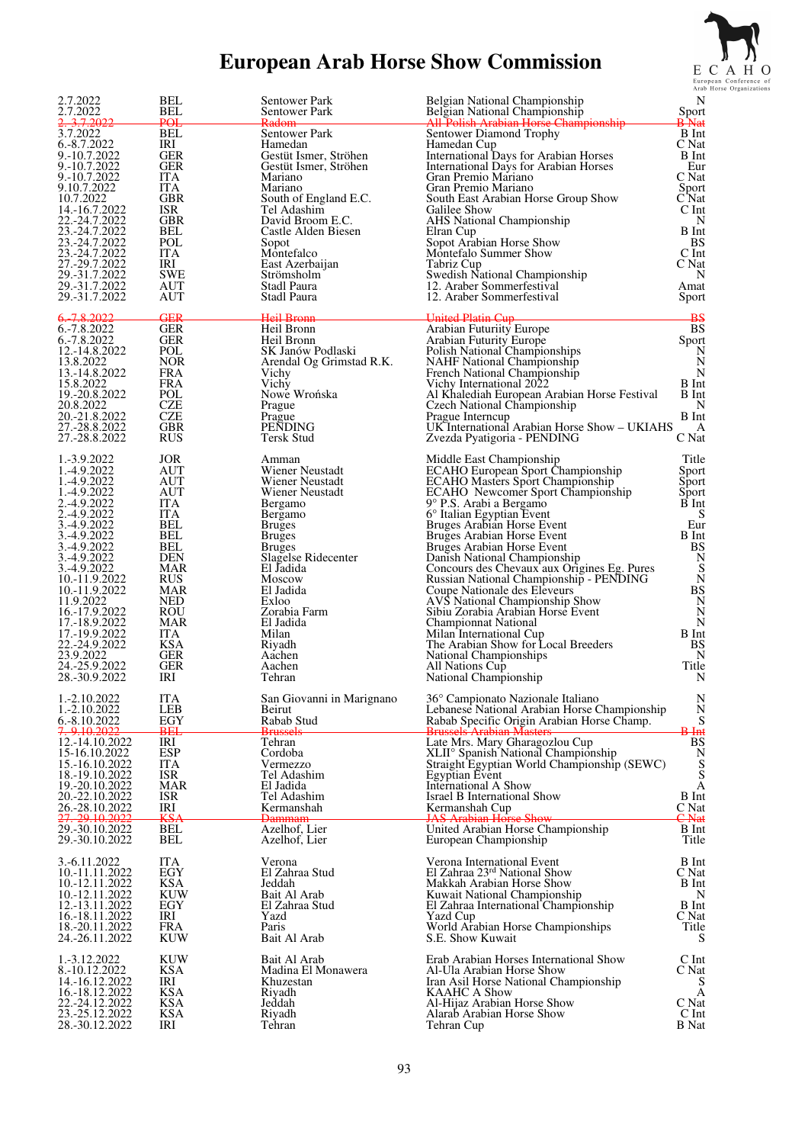

| 2.7.2022                                                                                                                                                                                                                                                                                                                            | <b>BEL</b>                                                                                                                                                                  | Sentower Park                                                                                                                                                                                                                                                                                    | Belgian National Championship                                                                                                                                                                                                                                                                                                                                                                                                                                                                                                                                                                                                                                                                                         | N                                                                                                                                                         |
|-------------------------------------------------------------------------------------------------------------------------------------------------------------------------------------------------------------------------------------------------------------------------------------------------------------------------------------|-----------------------------------------------------------------------------------------------------------------------------------------------------------------------------|--------------------------------------------------------------------------------------------------------------------------------------------------------------------------------------------------------------------------------------------------------------------------------------------------|-----------------------------------------------------------------------------------------------------------------------------------------------------------------------------------------------------------------------------------------------------------------------------------------------------------------------------------------------------------------------------------------------------------------------------------------------------------------------------------------------------------------------------------------------------------------------------------------------------------------------------------------------------------------------------------------------------------------------|-----------------------------------------------------------------------------------------------------------------------------------------------------------|
| 2.7.2022                                                                                                                                                                                                                                                                                                                            | BEL                                                                                                                                                                         | Sentower Park                                                                                                                                                                                                                                                                                    | Belgian National Championship                                                                                                                                                                                                                                                                                                                                                                                                                                                                                                                                                                                                                                                                                         | Sport                                                                                                                                                     |
| <del>3.7.2022</del>                                                                                                                                                                                                                                                                                                                 | <b>POL</b>                                                                                                                                                                  | Radom                                                                                                                                                                                                                                                                                            | All Polish Arabian Horse Championship                                                                                                                                                                                                                                                                                                                                                                                                                                                                                                                                                                                                                                                                                 | <b>B</b> Nat                                                                                                                                              |
| 3.7.2022                                                                                                                                                                                                                                                                                                                            | BEL                                                                                                                                                                         | Sentower Park                                                                                                                                                                                                                                                                                    | Sentower Diamond Trophy                                                                                                                                                                                                                                                                                                                                                                                                                                                                                                                                                                                                                                                                                               | <b>B</b> Int                                                                                                                                              |
| 6.-8.7.2022                                                                                                                                                                                                                                                                                                                         | IRI                                                                                                                                                                         | Hamedan                                                                                                                                                                                                                                                                                          | Hamedan Cup                                                                                                                                                                                                                                                                                                                                                                                                                                                                                                                                                                                                                                                                                                           | C Nat                                                                                                                                                     |
| 9.-10.7.2022                                                                                                                                                                                                                                                                                                                        | GER                                                                                                                                                                         | Gestüt Ismer, Ströhen                                                                                                                                                                                                                                                                            | International Days for Arabian Horses                                                                                                                                                                                                                                                                                                                                                                                                                                                                                                                                                                                                                                                                                 | B Int                                                                                                                                                     |
| 9.-10.7.2022                                                                                                                                                                                                                                                                                                                        | GER                                                                                                                                                                         | Gestüt Ismer, Ströhen                                                                                                                                                                                                                                                                            | International Days for Arabian Horses                                                                                                                                                                                                                                                                                                                                                                                                                                                                                                                                                                                                                                                                                 | Eur                                                                                                                                                       |
| 9.-10.7.2022                                                                                                                                                                                                                                                                                                                        | ITA                                                                                                                                                                         | Mariano                                                                                                                                                                                                                                                                                          | Gran Premio Mariano                                                                                                                                                                                                                                                                                                                                                                                                                                                                                                                                                                                                                                                                                                   | C Nat                                                                                                                                                     |
| 9.10.7.2022                                                                                                                                                                                                                                                                                                                         | ITA                                                                                                                                                                         | Mariano                                                                                                                                                                                                                                                                                          | Gran Premio Mariano                                                                                                                                                                                                                                                                                                                                                                                                                                                                                                                                                                                                                                                                                                   | Sport                                                                                                                                                     |
| 10.7.2022                                                                                                                                                                                                                                                                                                                           | GBR                                                                                                                                                                         | South of England E.C.                                                                                                                                                                                                                                                                            | South East Arabian Horse Group Show                                                                                                                                                                                                                                                                                                                                                                                                                                                                                                                                                                                                                                                                                   | C Nat                                                                                                                                                     |
| 14.-16.7.2022                                                                                                                                                                                                                                                                                                                       | <b>ISR</b>                                                                                                                                                                  | Tel Adashim                                                                                                                                                                                                                                                                                      | Galilee Show                                                                                                                                                                                                                                                                                                                                                                                                                                                                                                                                                                                                                                                                                                          | C Int                                                                                                                                                     |
| 22.-24.7.2022                                                                                                                                                                                                                                                                                                                       | GBR                                                                                                                                                                         | David Broom E.C.                                                                                                                                                                                                                                                                                 | <b>AHS</b> National Championship                                                                                                                                                                                                                                                                                                                                                                                                                                                                                                                                                                                                                                                                                      | N                                                                                                                                                         |
| 23.-24.7.2022                                                                                                                                                                                                                                                                                                                       | BEL                                                                                                                                                                         | Castle Alden Biesen                                                                                                                                                                                                                                                                              | Elran Cup                                                                                                                                                                                                                                                                                                                                                                                                                                                                                                                                                                                                                                                                                                             | B Int                                                                                                                                                     |
| 23.-24.7.2022                                                                                                                                                                                                                                                                                                                       | POL                                                                                                                                                                         | Sopot                                                                                                                                                                                                                                                                                            | Sopot Arabian Horse Show                                                                                                                                                                                                                                                                                                                                                                                                                                                                                                                                                                                                                                                                                              | BS                                                                                                                                                        |
| 23.-24.7.2022                                                                                                                                                                                                                                                                                                                       | ITA                                                                                                                                                                         | Montefalco                                                                                                                                                                                                                                                                                       | Montefalo Summer Show                                                                                                                                                                                                                                                                                                                                                                                                                                                                                                                                                                                                                                                                                                 | C Int                                                                                                                                                     |
| 27.-29.7.2022                                                                                                                                                                                                                                                                                                                       | IRI                                                                                                                                                                         | East Azerbaijan                                                                                                                                                                                                                                                                                  | Tabriz Cup                                                                                                                                                                                                                                                                                                                                                                                                                                                                                                                                                                                                                                                                                                            | C Nat                                                                                                                                                     |
| 29.-31.7.2022                                                                                                                                                                                                                                                                                                                       | <b>SWE</b>                                                                                                                                                                  | Strömsholm                                                                                                                                                                                                                                                                                       | Swedish National Championship                                                                                                                                                                                                                                                                                                                                                                                                                                                                                                                                                                                                                                                                                         | N                                                                                                                                                         |
| 29.-31.7.2022                                                                                                                                                                                                                                                                                                                       | AUT                                                                                                                                                                         | Stadl Paura                                                                                                                                                                                                                                                                                      | 12. Araber Sommerfestival                                                                                                                                                                                                                                                                                                                                                                                                                                                                                                                                                                                                                                                                                             | Amat                                                                                                                                                      |
| 29.-31.7.2022                                                                                                                                                                                                                                                                                                                       | AUT                                                                                                                                                                         | Stadl Paura                                                                                                                                                                                                                                                                                      | 12. Araber Sommerfestival                                                                                                                                                                                                                                                                                                                                                                                                                                                                                                                                                                                                                                                                                             | Sport                                                                                                                                                     |
| <u>6. 7.8.2022</u><br>6.-7.8.2022<br>6.-7.8.2022<br>12.-14.8.2022<br>13.8.2022<br>13.-14.8.2022<br>15.8.2022<br>19.-20.8.2022<br>20.8.2022<br>20.-21.8.2022<br>27.-28.8.2022<br>27.-28.8.2022                                                                                                                                       | GER<br><b>GER</b><br>GER<br>POL<br><b>NOR</b><br>FRA<br>FRA<br>POL<br>CZE<br><b>CZE</b><br>GBR<br><b>RUS</b>                                                                | Heil Bronn<br>Heil Bronn<br>Heil Bronn<br>SK Janów Podlaski<br>Arendal Og Grimstad R.K.<br>Vichy<br>Vichy<br>Nowe Wrońska<br>Prague<br>Prague<br><b>PENDING</b><br>Tersk Stud                                                                                                                    | United Platin Cup<br>Arabian Futuriity Europe<br><b>Arabian Futurity Europe</b><br>Polish National Championships<br><b>NAHF</b> National Championship<br>French National Championship<br>Vichy International 2022<br>Al Khalediah European Arabian Horse Festival<br>Czech National Championship<br>Prague Interncup<br>UK International Arabian Horse Show - UKIAHS<br>Zvezda Pyatigoria - PENDING                                                                                                                                                                                                                                                                                                                   | <b>BS</b><br>Sport<br>N<br>N<br>N<br>B Int<br>B Int<br>N<br>B Int<br>A<br>C Nat                                                                           |
| 1.-3.9.2022<br>1.-4.9.2022<br>1.-4.9.2022<br>1.-4.9.2022<br>2.-4.9.2022<br>2.-4.9.2022<br>3.-4.9.2022<br>3.-4.9.2022<br>3.-4.9.2022<br>3.-4.9.2022<br>3.-4.9.2022<br>10.-11.9.2022<br>10.-11.9.2022<br>11.9.2022<br>16.-17.9.2022<br>17.-18.9.2022<br>17.-19.9.2022<br>22.-24.9.2022<br>23.9.2022<br>24.-25.9.2022<br>28.-30.9.2022 | JOR<br>AUT<br>AUT<br>AUT<br>ITA<br>ITA<br>BEL<br>BEL<br>BEL<br>DEN<br>MAR<br><b>RUS</b><br>MAR<br>NED<br>ROU<br>MAR<br><b>ITA</b><br><b>KSA</b><br><b>GER</b><br>GER<br>IRI | Amman<br>Wiener Neustadt<br>Wiener Neustadt<br>Wiener Neustadt<br>Bergamo<br>Bergamo<br><b>Bruges</b><br><b>Bruges</b><br><b>Bruges</b><br>Slagelse Ridecenter<br>El Jadida<br><b>Moscow</b><br>El Jadida<br>Exloo<br>Zorabia Farm<br>El Jadida<br>Milan<br>Riyadh<br>Aachen<br>Aachen<br>Tehran | Middle East Championship<br><b>ECAHO European Sport Championship</b><br><b>ECAHO Masters Sport Championship</b><br><b>ECAHO</b> Newcomer Sport Championship<br>9° P.S. Arabi a Bergamo<br>6° Italian Egyptian Event<br>Bruges Arabian Horse Event<br>Bruges Arabian Horse Event<br>Bruges Arabian Horse Event<br>Danish National Championship<br>Concours des Chevaux aux Origines Eg. Pures<br>Russian National Championship - PENDING<br>Coupe Nationale des Eleveurs<br><b>AVS National Championship Show</b><br>Sibiu Zorabia Arabian Horse Event<br>Championnat National<br>Milan International Cup<br>The Arabian Show for Local Breeders<br>National Championships<br>All Nations Cup<br>National Championship | Title<br>Sport<br>Sport<br>Sport<br>B Int<br>S<br>Eur<br>B Int<br>BS<br>N<br>S<br>${\bf N}$<br><b>BS</b><br>N<br>N<br>N<br>B Int<br>BS<br>N<br>Title<br>N |
| 1.-2.10.2022<br>1.-2.10.2022<br>6.-8.10.2022<br><del>7. 9.10.2022</del><br>12.-14.10.2022<br>15-16.10.2022<br>15.-16.10.2022<br>18.-19.10.2022<br>19.-20.10.2022<br>20.-22.10.2022<br>26.-28.10.2022<br>27. 29.10.2022<br>29.-30.10.2022<br>29.-30.10.2022                                                                          | ITA<br>LEB<br>EGY<br>BEI<br>IRI<br><b>ESP</b><br>ITA<br><b>ISR</b><br>MAR<br><b>ISR</b><br>IRI<br><b>KSA</b><br><b>BEL</b><br>BEL                                           | San Giovanni in Marignano<br>Beirut<br>Rabab Stud<br><del>Brussel:</del><br>Tehran<br>Cordoba<br>Vermezzo<br>Tel Adashim<br>El Jadida<br>Tel Adashim<br>Kermanshah<br><b>Dammam</b><br>Azelhof, Lier<br>Azelhof, Lier                                                                            | 36° Campionato Nazionale Italiano<br>Lebanese National Arabian Horse Championship<br>Rabab Specific Origin Arabian Horse Champ.<br>Late Mrs. Mary Gharagozlou Cup<br>XLII <sup>°</sup> Spanish National Championship<br>Straight Egyptian World Championship (SEWC)<br><b>Egyptian Event</b><br>International A Show<br><b>Israel B International Show</b><br>Kermanshah Cup<br><del>JAS Arabian Horse Show</del><br>United Arabian Horse Championship<br>European Championship                                                                                                                                                                                                                                       | N<br>N<br>S<br><del>B Int</del><br>BS<br>$\frac{N}{S}$<br>$\mathbf A$<br><b>B</b> Int<br>C Nat<br>$\overline{C}$ Nat<br><b>B</b> Int<br>Title             |
| 3.-6.11.2022<br>10.-11.11.2022<br>10.-12.11.2022<br>10.-12.11.2022<br>12.-13.11.2022<br>16.-18.11.2022<br>18.-20.11.2022<br>24.-26.11.2022                                                                                                                                                                                          | ITA<br>EGY<br><b>KSA</b><br>KUW<br>EGY<br>IRI<br><b>FRA</b><br><b>KUW</b>                                                                                                   | Verona<br>El Zahraa Stud<br>Jeddah<br>Bait Al Arab<br>El Zahraa Stud<br>Yazd<br>Paris<br>Bait Al Arab                                                                                                                                                                                            | Verona International Event<br>El Zahraa 23 <sup>rd</sup> National Show<br>Makkah Arabian Horse Show<br>Kuwait National Championship<br>El Zahraa International Championship<br>Yazd Cup<br>World Arabian Horse Championships<br>S.E. Show Kuwait                                                                                                                                                                                                                                                                                                                                                                                                                                                                      | B Int<br>C Nat<br><b>B</b> Int<br>N<br>B Int<br>C Nat<br>Title<br>S                                                                                       |
| 1.-3.12.2022                                                                                                                                                                                                                                                                                                                        | <b>KUW</b>                                                                                                                                                                  | Bait Al Arab                                                                                                                                                                                                                                                                                     | Erab Arabian Horses International Show                                                                                                                                                                                                                                                                                                                                                                                                                                                                                                                                                                                                                                                                                | C Int                                                                                                                                                     |
| 8.-10.12.2022                                                                                                                                                                                                                                                                                                                       | <b>KSA</b>                                                                                                                                                                  | Madina El Monawera                                                                                                                                                                                                                                                                               | Al-Ula Arabian Horse Show                                                                                                                                                                                                                                                                                                                                                                                                                                                                                                                                                                                                                                                                                             | C Nat                                                                                                                                                     |
| 14.-16.12.2022                                                                                                                                                                                                                                                                                                                      | IRI                                                                                                                                                                         | Khuzestan                                                                                                                                                                                                                                                                                        | Iran Asil Horse National Championship                                                                                                                                                                                                                                                                                                                                                                                                                                                                                                                                                                                                                                                                                 | S                                                                                                                                                         |
| 16.-18.12.2022                                                                                                                                                                                                                                                                                                                      | <b>KSA</b>                                                                                                                                                                  | Riyadh                                                                                                                                                                                                                                                                                           | KAAHC A Show                                                                                                                                                                                                                                                                                                                                                                                                                                                                                                                                                                                                                                                                                                          | A                                                                                                                                                         |
| 22.-24.12.2022                                                                                                                                                                                                                                                                                                                      | <b>KSA</b>                                                                                                                                                                  | Jeddah                                                                                                                                                                                                                                                                                           | Al-Hijaz Arabian Horse Show                                                                                                                                                                                                                                                                                                                                                                                                                                                                                                                                                                                                                                                                                           | C Nat                                                                                                                                                     |
| 23.-25.12.2022                                                                                                                                                                                                                                                                                                                      | <b>KSA</b>                                                                                                                                                                  | Riyadh                                                                                                                                                                                                                                                                                           | Alarab Arabian Horse Show                                                                                                                                                                                                                                                                                                                                                                                                                                                                                                                                                                                                                                                                                             | C Int                                                                                                                                                     |
| 28.-30.12.2022                                                                                                                                                                                                                                                                                                                      | IRI                                                                                                                                                                         | Tehran                                                                                                                                                                                                                                                                                           | Tehran Cup                                                                                                                                                                                                                                                                                                                                                                                                                                                                                                                                                                                                                                                                                                            | <b>B</b> Nat                                                                                                                                              |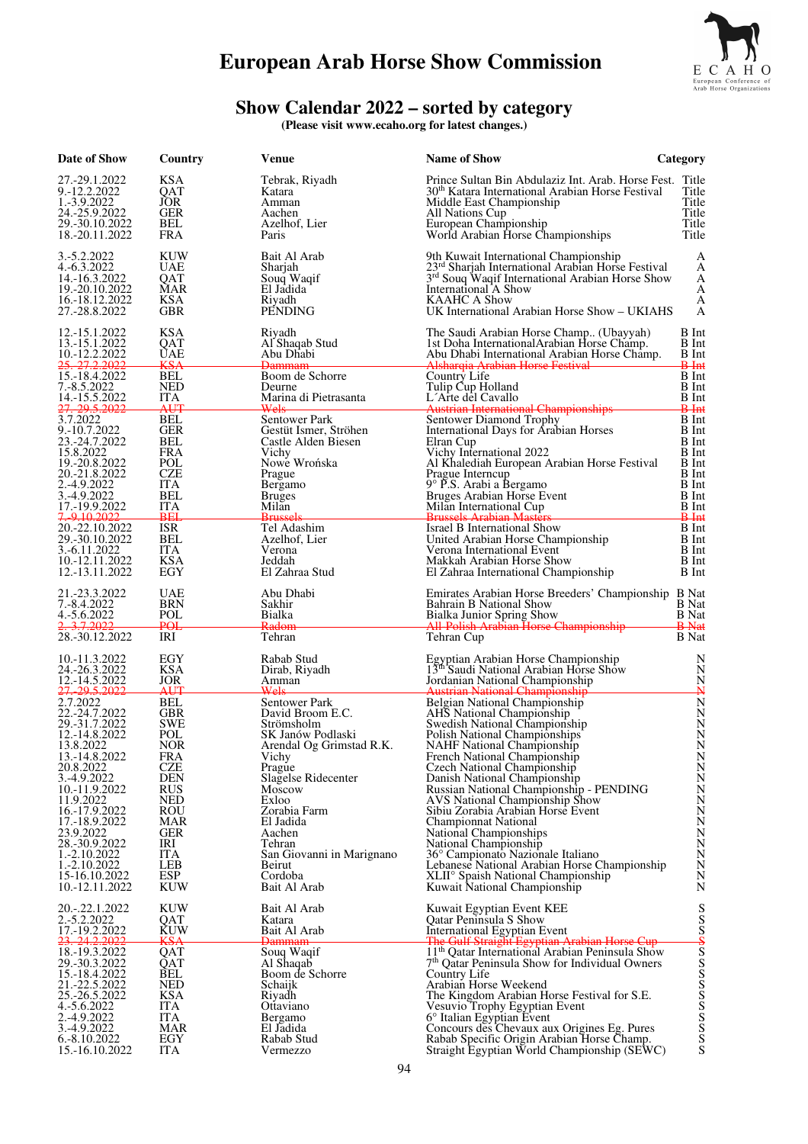

#### **Show Calendar 2022 – sorted by category**

**(Please visit www.ecaho.org for latest changes.)** 

| Date of Show                                                                                                                                                                                                                                                                                           | Country                                                                                                                                                                                                 | Venue                                                                                                                                                                                                                                                                                    | <b>Name of Show</b>                                                                                                                                                                                                                                                                                                                                                                                                                                                                                                                                                                                                                                                                  | Category                                                                                                                                                                                                      |
|--------------------------------------------------------------------------------------------------------------------------------------------------------------------------------------------------------------------------------------------------------------------------------------------------------|---------------------------------------------------------------------------------------------------------------------------------------------------------------------------------------------------------|------------------------------------------------------------------------------------------------------------------------------------------------------------------------------------------------------------------------------------------------------------------------------------------|--------------------------------------------------------------------------------------------------------------------------------------------------------------------------------------------------------------------------------------------------------------------------------------------------------------------------------------------------------------------------------------------------------------------------------------------------------------------------------------------------------------------------------------------------------------------------------------------------------------------------------------------------------------------------------------|---------------------------------------------------------------------------------------------------------------------------------------------------------------------------------------------------------------|
| 27.-29.1.2022<br>9.-12.2.2022<br>1.-3.9.2022<br>24.-25.9.2022<br>29.-30.10.2022<br>18.-20.11.2022                                                                                                                                                                                                      | <b>KSA</b><br>QAT<br>JÒR<br><b>GER</b><br>BEL<br>FRA                                                                                                                                                    | Tebrak, Riyadh<br>Katara<br>Amman<br>Aachen<br>Azelhof, Lier<br>Paris                                                                                                                                                                                                                    | Prince Sultan Bin Abdulaziz Int. Arab. Horse Fest. Title<br>30 <sup>th</sup> Katara International Arabian Horse Festival<br>Middle East Championship<br>All Nations Cup<br>European Championship<br>World Arabian Horse Championships                                                                                                                                                                                                                                                                                                                                                                                                                                                | Title<br>Title<br>Title<br>Title<br>Title                                                                                                                                                                     |
| 3.-5.2.2022<br>4.-6.3.2022<br>14.-16.3.2022<br>19.-20.10.2022<br>16.-18.12.2022<br>27.-28.8.2022                                                                                                                                                                                                       | KUW<br><b>UAE</b><br>QAT<br><b>MAR</b><br>KSA<br><b>GBR</b>                                                                                                                                             | Bait Al Arab<br>Sharjah<br>Souq Waqif<br>El Jadida<br>Rivadh<br>PENDING                                                                                                                                                                                                                  | 9th Kuwait International Championship<br>$23rd$ Sharjah International Arabian Horse Festival $3rd$ Souq Waqif International Arabian Horse Show<br>International A Show<br><b>KAAHC A Show</b><br>UK International Arabian Horse Show – UKIAHS                                                                                                                                                                                                                                                                                                                                                                                                                                        | А<br>A<br>A<br>A<br>A<br>А                                                                                                                                                                                    |
| 12.-15.1.2022<br>13.-15.1.2022<br>10.-12.2.2022<br>25, 27, 2, 2022<br>15.-18.4.2022<br>7.-8.5.2022<br>14.-15.5.2022                                                                                                                                                                                    | <b>KSA</b><br>QAT<br><b>UAE</b><br>KSA<br>BEL<br><b>NED</b><br><b>ITA</b>                                                                                                                               | Riyadh<br>Al Shaqab Stud<br>Abu Dhabi<br><del>Dammam</del><br>Boom de Schorre<br>Deurne<br>Marina di Pietrasanta                                                                                                                                                                         | The Saudi Arabian Horse Champ (Ubayyah)<br>1st Doha International Arabian Horse Champ.<br>Abu Dhabi International Arabian Horse Champ.<br>Alsharqia Arabian Horse Festival<br>Country Life<br>Tulip Cup Holland<br>L'Arte del Cavallo                                                                                                                                                                                                                                                                                                                                                                                                                                                | <b>B</b> Int<br><b>B</b> Int<br><b>B</b> Int<br>$B$ -Int<br><b>B</b> Int<br><b>B</b> Int<br><b>B</b> Int                                                                                                      |
| 27. 29.5.2022<br>3.7.2022<br>9.-10.7.2022<br>23.-24.7.2022<br>15.8.2022<br>19.-20.8.2022<br>20.-21.8.2022<br>2.-4.9.2022<br>3.-4.9.2022<br>17.-19.9.2022<br>7.9.10.2022<br>20.-22.10.2022<br>29.-30.10.2022                                                                                            | AUT<br><b>BEL</b><br><b>GER</b><br>BEL<br>FRA<br>POL<br>CZE<br>ITA<br><b>BEL</b><br><b>ITA</b><br><b>BEL</b><br><b>ISR</b><br>BEL                                                                       | Wels<br>Sentower Park<br>Gestüt Ismer, Ströhen<br>Castle Alden Biesen<br>Vichy<br>Nowe Wrońska<br>Prague<br>Bergamo<br><b>Bruges</b><br>Milan<br><b>Brussels</b><br>Tel Adashim<br>Azelhof, Lier                                                                                         | <b>Austrian International Championships</b><br>Sentower Diamond Trophy<br>International Days for Arabian Horses<br>Elran Cup<br>Vichy International 2022<br>Al Khalediah European Arabian Horse Festival<br>Prague Interncup<br>9° P.S. Arabi a Bergamo<br>Bruges Arabian Horse Event<br>Milan International Cup<br><b>Brussels Arabian Masters</b><br>Israel B International Show<br>United Arabian Horse Championship                                                                                                                                                                                                                                                              | <del>B Int</del><br><b>B</b> Int<br><b>B</b> Int<br><b>B</b> Int<br><b>B</b> Int<br><b>B</b> Int<br><b>B</b> Int<br>B Int<br><b>B</b> Int<br><b>B</b> Int<br><del>B Int</del><br><b>B</b> Int<br><b>B</b> Int |
| 3.-6.11.2022<br>10.-12.11.2022<br>12.-13.11.2022<br>21.-23.3.2022<br>7.-8.4.2022<br>4.-5.6.2022                                                                                                                                                                                                        | <b>ITA</b><br><b>KSA</b><br>EGY<br>UAE<br>BRN<br>POL                                                                                                                                                    | Verona<br>Jeddah<br>El Zahraa Stud<br>Abu Dhabi<br>Sakhir<br><b>Bialka</b>                                                                                                                                                                                                               | Verona International Event<br>Makkah Arabian Horse Show<br>El Zahraa International Championship<br>Emirates Arabian Horse Breeders' Championship B Nat<br>Bahrain B National Show<br>Bialka Junior Spring Show                                                                                                                                                                                                                                                                                                                                                                                                                                                                       | B Int<br>B Int<br>B Int<br><b>B</b> Nat<br><b>B</b> Nat                                                                                                                                                       |
| <del>3.7.2022</del><br>28.-30.12.2022                                                                                                                                                                                                                                                                  | POL<br>IRI                                                                                                                                                                                              | Radom<br>Tehran                                                                                                                                                                                                                                                                          | All-Polish Arabian Horse Championship<br>Tehran Cup                                                                                                                                                                                                                                                                                                                                                                                                                                                                                                                                                                                                                                  | <b>B</b> Nat<br><b>B</b> Nat                                                                                                                                                                                  |
| 10.-11.3.2022<br>24.-26.3.2022<br>12.-14.5.2022                                                                                                                                                                                                                                                        | EGY<br><b>KSA</b><br><b>JOR</b>                                                                                                                                                                         | Rabab Stud<br>Dirab, Riyadh<br>Amman                                                                                                                                                                                                                                                     | Egyptian Arabian Horse Championship<br>13th Saudi National Arabian Horse Show<br>Jordanian National Championship                                                                                                                                                                                                                                                                                                                                                                                                                                                                                                                                                                     | N<br>N<br>N                                                                                                                                                                                                   |
| 27.29.5.2022<br>2.7.2022<br>22.-24.7.2022<br>29.-31.7.2022<br>12.-14.8.2022<br>13.8.2022<br>13.-14.8.2022<br>20.8.2022<br>3.-4.9.2022<br>10.-11.9.2022<br>11.9.2022<br>16.-17.9.2022<br>17.-18.9.2022<br>23.9.2022<br>28.-30.9.2022<br>1.-2.10.2022<br>1.-2.10.2022<br>15-16.10.2022<br>10.-12.11.2022 | AUT<br>BEL<br><b>GBR</b><br><b>SWE</b><br>POL<br><b>NOR</b><br><b>FRA</b><br><b>CZE</b><br><b>DEN</b><br><b>RUS</b><br>NED<br>ROU<br><b>MAR</b><br>GER<br>IRI<br><b>ITA</b><br>LEB<br>ESP<br><b>KUW</b> | Wels<br>Sentower Park<br>David Broom E.C.<br>Strömsholm<br>SK Janów Podlaski<br>Arendal Og Grimstad R.K.<br>Vichy<br>Prague<br>Slagelse Ridecenter<br>Moscow<br>Exloo<br>Zorabia Farm<br>El Jadida<br>Aachen<br>Tehran<br>San Giovanni in Marignano<br>Beirut<br>Cordoba<br>Bait Al Arab | <b>Austrian National Championship</b><br>Belgian National Championship<br>AHS National Championship<br>Swedish National Championship<br>Polish National Championships<br><b>NAHF</b> National Championship<br>French National Championship<br>Czech National Championship<br>Danish National Championship<br>Russian National Championship - PENDING<br>AVS National Championship Show<br>Sibiu Zorabia Arabian Horse Event<br><b>Championnat National</b><br>National Championships<br>National Championship<br>36° Campionato Nazionale Italiano<br>Lebanese National Arabian Horse Championship<br>XLII <sup>°</sup> Spaish National Championship<br>Kuwait National Championship | ₩<br>$\mathbf N$<br>$\mathbf N$<br>N<br>$\overline{N}$<br>N<br>N<br>N<br>N<br>N<br>$\overline{N}$<br>N<br>N<br>$\overline{N}$<br>N<br>$\overline{N}$<br>$\rm \frac{\dot{N}}{N}$<br>$\mathbf N$                |
| 20.-.22.1.2022<br>2.-5.2.2022<br>17.-19.2.2022<br>23. 24.2.2022                                                                                                                                                                                                                                        | KUW<br>QAT<br>KUW<br><del>KS</del> A                                                                                                                                                                    | Bait Al Arab<br>Katara<br>Bait Al Arab<br><del>Dammam</del>                                                                                                                                                                                                                              | Kuwait Egyptian Event KEE<br>Qatar Peninsula S Show<br><b>International Egyptian Event</b>                                                                                                                                                                                                                                                                                                                                                                                                                                                                                                                                                                                           | $\mathbf S$                                                                                                                                                                                                   |
| 18.-19.3.2022<br>29.-30.3.2022<br>15.-18.4.2022<br>21.-22.5.2022<br>25.-26.5.2022<br>4.-5.6.2022<br>2.-4.9.2022<br>3.-4.9.2022<br>6.-8.10.2022<br>15.-16.10.2022                                                                                                                                       | QAT<br>QAT<br>BEL<br><b>NED</b><br>KSA<br><b>ITA</b><br><b>ITA</b><br>MAR<br>EGY<br><b>ITA</b>                                                                                                          | Souq Waqif<br>Al Shaqab<br>Boom de Schorre<br>Schaijk<br>Riyadh<br>Ottaviano<br>Bergamo<br>El Jadida<br>Rabab Stud<br>Vermezzo                                                                                                                                                           | The Gulf Straight Egyptian Arabian Horse Cup<br>11 <sup>th</sup> Qatar International Arabian Peninsula Show<br>7 <sup>th</sup> Qatar Peninsula Show for Individual Owners<br>Country Life<br>Arabian Horse Weekend<br>The Kingdom Arabian Horse Festival for S.E.<br>Vesuvio Trophy Egyptian Event<br>6° Italian Egyptian Event<br>Concours des Chevaux aux Origines Eg. Pures<br>Rabab Specific Origin Arabian Horse Champ.<br>Straight Egyptian World Championship (SEWC)                                                                                                                                                                                                          |                                                                                                                                                                                                               |